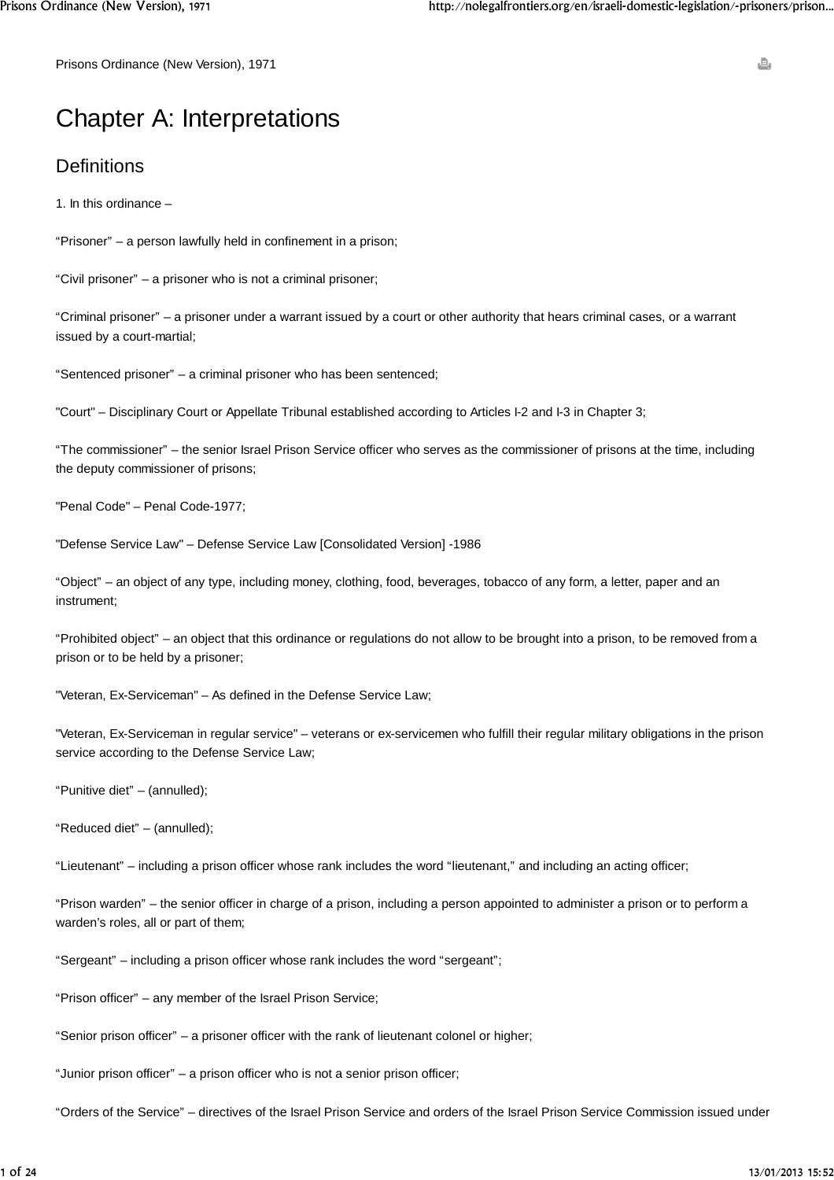ā,

Prisons Ordinance (New Version), 1971

# Chapter A: Interpretations

## **Definitions**

1. In this ordinance –

"Prisoner" – a person lawfully held in confinement in a prison;

"Civil prisoner" – a prisoner who is not a criminal prisoner;

"Criminal prisoner" – a prisoner under a warrant issued by a court or other authority that hears criminal cases, or a warrant issued by a court-martial;

"Sentenced prisoner" – a criminal prisoner who has been sentenced;

"Court" – Disciplinary Court or Appellate Tribunal established according to Articles I-2 and I-3 in Chapter 3;

"The commissioner" – the senior Israel Prison Service officer who serves as the commissioner of prisons at the time, including the deputy commissioner of prisons;

"Penal Code" – Penal Code-1977;

"Defense Service Law" – Defense Service Law [Consolidated Version] -1986

"Object" – an object of any type, including money, clothing, food, beverages, tobacco of any form, a letter, paper and an instrument;

"Prohibited object" – an object that this ordinance or regulations do not allow to be brought into a prison, to be removed from a prison or to be held by a prisoner;

"Veteran, Ex-Serviceman" – As defined in the Defense Service Law;

"Veteran, Ex-Serviceman in regular service" – veterans or ex-servicemen who fulfill their regular military obligations in the prison service according to the Defense Service Law;

"Punitive diet" – (annulled);

"Reduced diet" – (annulled);

"Lieutenant" – including a prison officer whose rank includes the word "lieutenant," and including an acting officer;

"Prison warden" – the senior officer in charge of a prison, including a person appointed to administer a prison or to perform a warden's roles, all or part of them;

"Sergeant" – including a prison officer whose rank includes the word "sergeant";

"Prison officer" – any member of the Israel Prison Service;

"Senior prison officer" – a prisoner officer with the rank of lieutenant colonel or higher;

"Junior prison officer" – a prison officer who is not a senior prison officer;

"Orders of the Service" – directives of the Israel Prison Service and orders of the Israel Prison Service Commission issued under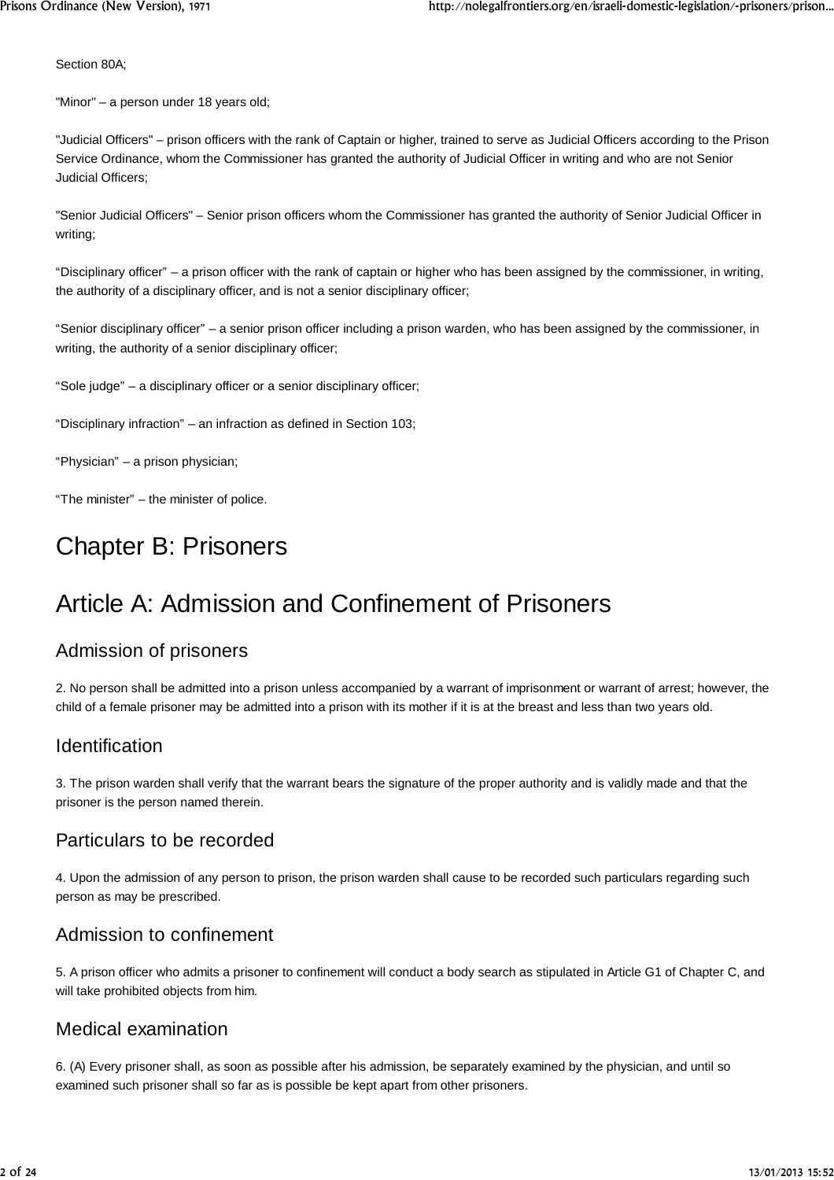Section 80A;

"Minor" – a person under 18 years old;

"Judicial Officers" – prison officers with the rank of Captain or higher, trained to serve as Judicial Officers according to the Prison Service Ordinance, whom the Commissioner has granted the authority of Judicial Officer in writing and who are not Senior Judicial Officers;

"Senior Judicial Officers" – Senior prison officers whom the Commissioner has granted the authority of Senior Judicial Officer in writing;

"Disciplinary officer" – a prison officer with the rank of captain or higher who has been assigned by the commissioner, in writing, the authority of a disciplinary officer, and is not a senior disciplinary officer;

"Senior disciplinary officer" – a senior prison officer including a prison warden, who has been assigned by the commissioner, in writing, the authority of a senior disciplinary officer;

"Sole judge" – a disciplinary officer or a senior disciplinary officer;

"Disciplinary infraction" – an infraction as defined in Section 103;

"Physician" – a prison physician;

"The minister" – the minister of police.

## Chapter B: Prisoners

## Article A: Admission and Confinement of Prisoners

#### Admission of prisoners

2. No person shall be admitted into a prison unless accompanied by a warrant of imprisonment or warrant of arrest; however, the child of a female prisoner may be admitted into a prison with its mother if it is at the breast and less than two years old.

#### Identification

3. The prison warden shall verify that the warrant bears the signature of the proper authority and is validly made and that the prisoner is the person named therein.

#### Particulars to be recorded

4. Upon the admission of any person to prison, the prison warden shall cause to be recorded such particulars regarding such person as may be prescribed.

#### Admission to confinement

5. A prison officer who admits a prisoner to confinement will conduct a body search as stipulated in Article G1 of Chapter C, and will take prohibited objects from him.

#### Medical examination

6. (A) Every prisoner shall, as soon as possible after his admission, be separately examined by the physician, and until so examined such prisoner shall so far as is possible be kept apart from other prisoners.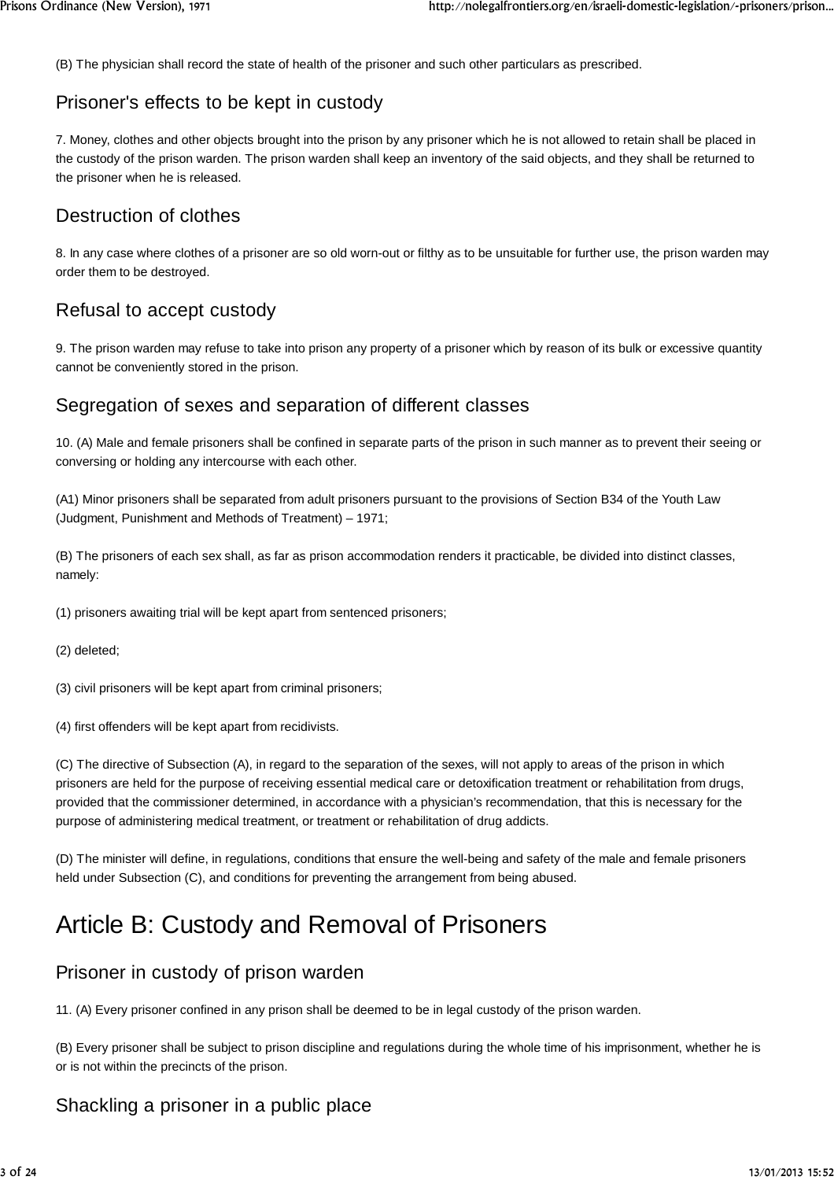(B) The physician shall record the state of health of the prisoner and such other particulars as prescribed.

#### Prisoner's effects to be kept in custody

7. Money, clothes and other objects brought into the prison by any prisoner which he is not allowed to retain shall be placed in the custody of the prison warden. The prison warden shall keep an inventory of the said objects, and they shall be returned to the prisoner when he is released.

### Destruction of clothes

8. In any case where clothes of a prisoner are so old worn-out or filthy as to be unsuitable for further use, the prison warden may order them to be destroyed.

#### Refusal to accept custody

9. The prison warden may refuse to take into prison any property of a prisoner which by reason of its bulk or excessive quantity cannot be conveniently stored in the prison.

#### Segregation of sexes and separation of different classes

10. (A) Male and female prisoners shall be confined in separate parts of the prison in such manner as to prevent their seeing or conversing or holding any intercourse with each other.

(A1) Minor prisoners shall be separated from adult prisoners pursuant to the provisions of Section B34 of the Youth Law (Judgment, Punishment and Methods of Treatment) – 1971;

(B) The prisoners of each sex shall, as far as prison accommodation renders it practicable, be divided into distinct classes, namely:

(1) prisoners awaiting trial will be kept apart from sentenced prisoners;

(2) deleted;

(3) civil prisoners will be kept apart from criminal prisoners;

(4) first offenders will be kept apart from recidivists.

(C) The directive of Subsection (A), in regard to the separation of the sexes, will not apply to areas of the prison in which prisoners are held for the purpose of receiving essential medical care or detoxification treatment or rehabilitation from drugs, provided that the commissioner determined, in accordance with a physician's recommendation, that this is necessary for the purpose of administering medical treatment, or treatment or rehabilitation of drug addicts.

(D) The minister will define, in regulations, conditions that ensure the well-being and safety of the male and female prisoners held under Subsection (C), and conditions for preventing the arrangement from being abused.

## Article B: Custody and Removal of Prisoners

#### Prisoner in custody of prison warden

11. (A) Every prisoner confined in any prison shall be deemed to be in legal custody of the prison warden.

(B) Every prisoner shall be subject to prison discipline and regulations during the whole time of his imprisonment, whether he is or is not within the precincts of the prison.

#### Shackling a prisoner in a public place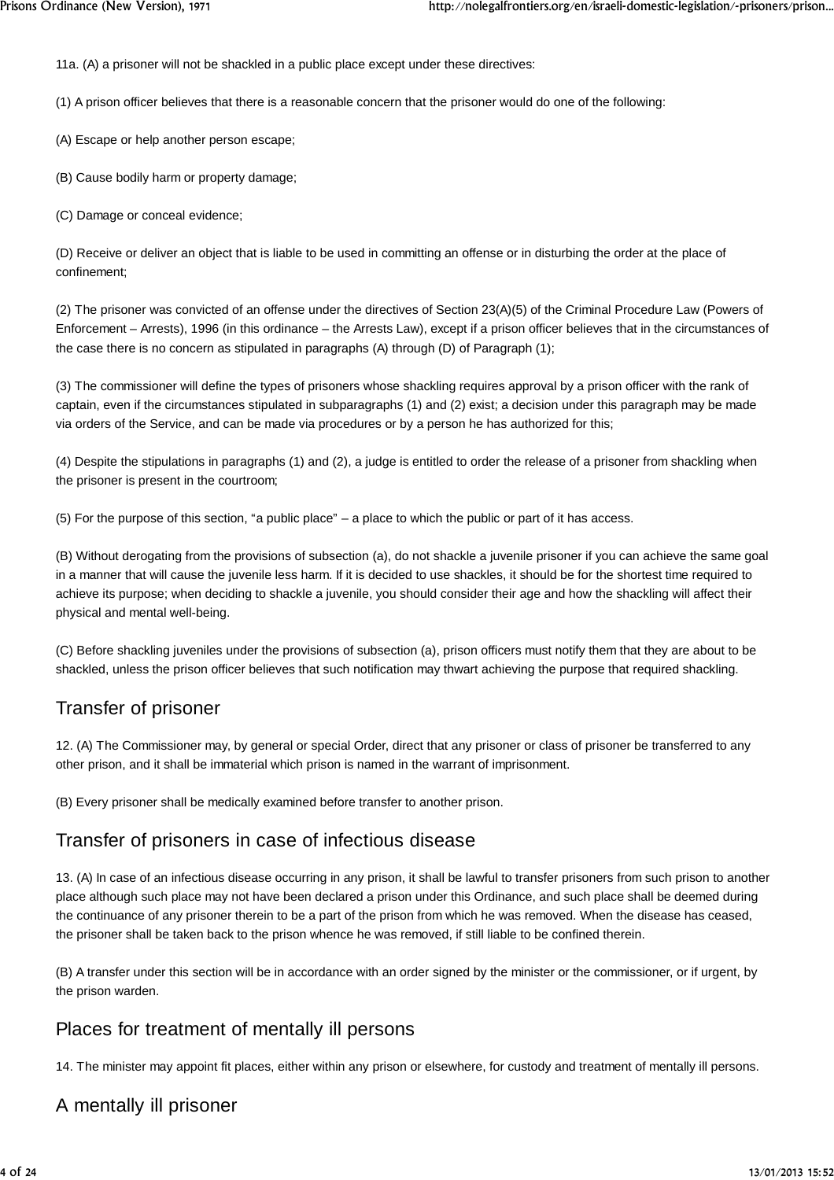11a. (A) a prisoner will not be shackled in a public place except under these directives:

(1) A prison officer believes that there is a reasonable concern that the prisoner would do one of the following:

(A) Escape or help another person escape;

(B) Cause bodily harm or property damage;

(C) Damage or conceal evidence;

(D) Receive or deliver an object that is liable to be used in committing an offense or in disturbing the order at the place of confinement;

(2) The prisoner was convicted of an offense under the directives of Section 23(A)(5) of the Criminal Procedure Law (Powers of Enforcement – Arrests), 1996 (in this ordinance – the Arrests Law), except if a prison officer believes that in the circumstances of the case there is no concern as stipulated in paragraphs (A) through (D) of Paragraph (1);

(3) The commissioner will define the types of prisoners whose shackling requires approval by a prison officer with the rank of captain, even if the circumstances stipulated in subparagraphs (1) and (2) exist; a decision under this paragraph may be made via orders of the Service, and can be made via procedures or by a person he has authorized for this;

(4) Despite the stipulations in paragraphs (1) and (2), a judge is entitled to order the release of a prisoner from shackling when the prisoner is present in the courtroom;

(5) For the purpose of this section, "a public place" – a place to which the public or part of it has access.

(B) Without derogating from the provisions of subsection (a), do not shackle a juvenile prisoner if you can achieve the same goal in a manner that will cause the juvenile less harm. If it is decided to use shackles, it should be for the shortest time required to achieve its purpose; when deciding to shackle a juvenile, you should consider their age and how the shackling will affect their physical and mental well-being.

(C) Before shackling juveniles under the provisions of subsection (a), prison officers must notify them that they are about to be shackled, unless the prison officer believes that such notification may thwart achieving the purpose that required shackling.

## Transfer of prisoner

12. (A) The Commissioner may, by general or special Order, direct that any prisoner or class of prisoner be transferred to any other prison, and it shall be immaterial which prison is named in the warrant of imprisonment.

(B) Every prisoner shall be medically examined before transfer to another prison.

#### Transfer of prisoners in case of infectious disease

13. (A) In case of an infectious disease occurring in any prison, it shall be lawful to transfer prisoners from such prison to another place although such place may not have been declared a prison under this Ordinance, and such place shall be deemed during the continuance of any prisoner therein to be a part of the prison from which he was removed. When the disease has ceased, the prisoner shall be taken back to the prison whence he was removed, if still liable to be confined therein.

(B) A transfer under this section will be in accordance with an order signed by the minister or the commissioner, or if urgent, by the prison warden.

#### Places for treatment of mentally ill persons

14. The minister may appoint fit places, either within any prison or elsewhere, for custody and treatment of mentally ill persons.

#### A mentally ill prisoner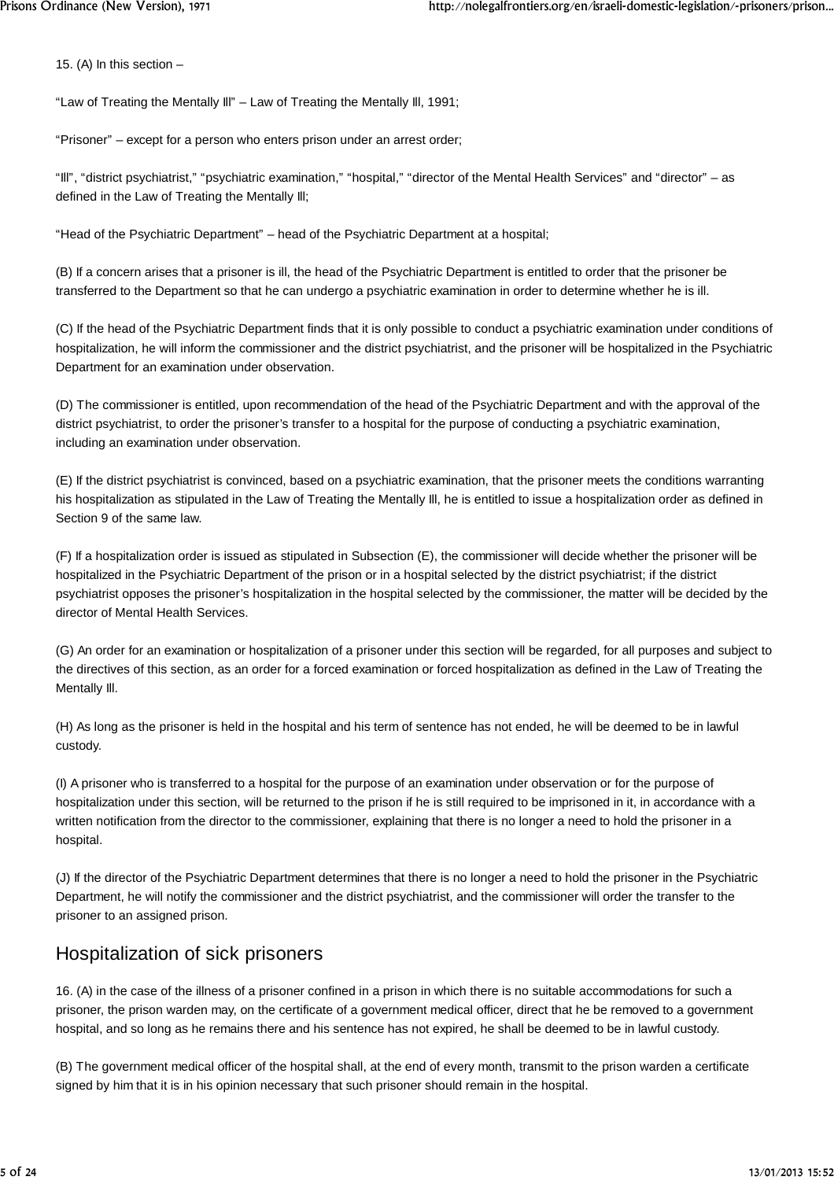15. (A) In this section  $-$ 

"Law of Treating the Mentally Ill" – Law of Treating the Mentally Ill, 1991;

"Prisoner" – except for a person who enters prison under an arrest order;

"Ill", "district psychiatrist," "psychiatric examination," "hospital," "director of the Mental Health Services" and "director" – as defined in the Law of Treating the Mentally Ill;

"Head of the Psychiatric Department" – head of the Psychiatric Department at a hospital;

(B) If a concern arises that a prisoner is ill, the head of the Psychiatric Department is entitled to order that the prisoner be transferred to the Department so that he can undergo a psychiatric examination in order to determine whether he is ill.

(C) If the head of the Psychiatric Department finds that it is only possible to conduct a psychiatric examination under conditions of hospitalization, he will inform the commissioner and the district psychiatrist, and the prisoner will be hospitalized in the Psychiatric Department for an examination under observation.

(D) The commissioner is entitled, upon recommendation of the head of the Psychiatric Department and with the approval of the district psychiatrist, to order the prisoner's transfer to a hospital for the purpose of conducting a psychiatric examination, including an examination under observation.

(E) If the district psychiatrist is convinced, based on a psychiatric examination, that the prisoner meets the conditions warranting his hospitalization as stipulated in the Law of Treating the Mentally Ill, he is entitled to issue a hospitalization order as defined in Section 9 of the same law.

(F) If a hospitalization order is issued as stipulated in Subsection (E), the commissioner will decide whether the prisoner will be hospitalized in the Psychiatric Department of the prison or in a hospital selected by the district psychiatrist; if the district psychiatrist opposes the prisoner's hospitalization in the hospital selected by the commissioner, the matter will be decided by the director of Mental Health Services.

(G) An order for an examination or hospitalization of a prisoner under this section will be regarded, for all purposes and subject to the directives of this section, as an order for a forced examination or forced hospitalization as defined in the Law of Treating the Mentally Ill.

(H) As long as the prisoner is held in the hospital and his term of sentence has not ended, he will be deemed to be in lawful custody.

(I) A prisoner who is transferred to a hospital for the purpose of an examination under observation or for the purpose of hospitalization under this section, will be returned to the prison if he is still required to be imprisoned in it, in accordance with a written notification from the director to the commissioner, explaining that there is no longer a need to hold the prisoner in a hospital.

(J) If the director of the Psychiatric Department determines that there is no longer a need to hold the prisoner in the Psychiatric Department, he will notify the commissioner and the district psychiatrist, and the commissioner will order the transfer to the prisoner to an assigned prison.

#### Hospitalization of sick prisoners

16. (A) in the case of the illness of a prisoner confined in a prison in which there is no suitable accommodations for such a prisoner, the prison warden may, on the certificate of a government medical officer, direct that he be removed to a government hospital, and so long as he remains there and his sentence has not expired, he shall be deemed to be in lawful custody.

(B) The government medical officer of the hospital shall, at the end of every month, transmit to the prison warden a certificate signed by him that it is in his opinion necessary that such prisoner should remain in the hospital.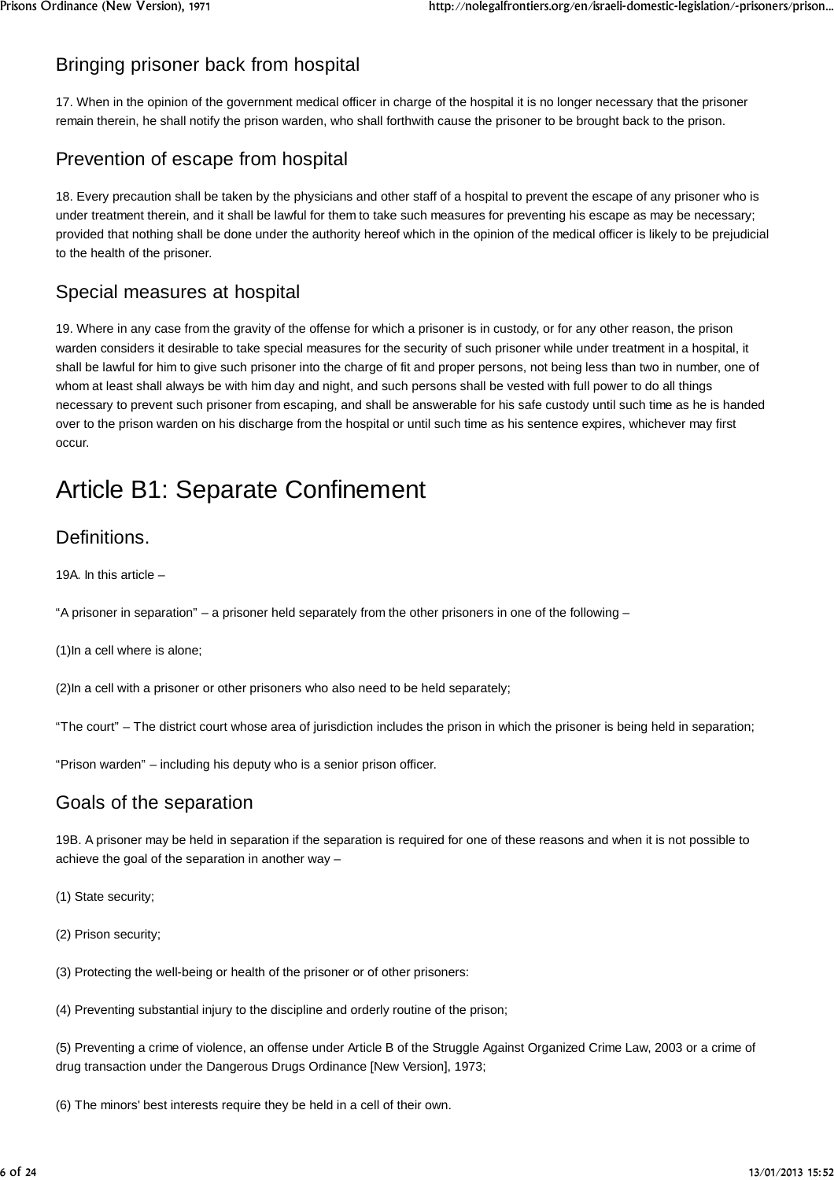## Bringing prisoner back from hospital

17. When in the opinion of the government medical officer in charge of the hospital it is no longer necessary that the prisoner remain therein, he shall notify the prison warden, who shall forthwith cause the prisoner to be brought back to the prison.

## Prevention of escape from hospital

18. Every precaution shall be taken by the physicians and other staff of a hospital to prevent the escape of any prisoner who is under treatment therein, and it shall be lawful for them to take such measures for preventing his escape as may be necessary; provided that nothing shall be done under the authority hereof which in the opinion of the medical officer is likely to be prejudicial to the health of the prisoner.

#### Special measures at hospital

19. Where in any case from the gravity of the offense for which a prisoner is in custody, or for any other reason, the prison warden considers it desirable to take special measures for the security of such prisoner while under treatment in a hospital, it shall be lawful for him to give such prisoner into the charge of fit and proper persons, not being less than two in number, one of whom at least shall always be with him day and night, and such persons shall be vested with full power to do all things necessary to prevent such prisoner from escaping, and shall be answerable for his safe custody until such time as he is handed over to the prison warden on his discharge from the hospital or until such time as his sentence expires, whichever may first occur.

## Article B1: Separate Confinement

#### Definitions.

19A. In this article –

"A prisoner in separation" – a prisoner held separately from the other prisoners in one of the following –

(1)In a cell where is alone;

(2)In a cell with a prisoner or other prisoners who also need to be held separately;

"The court" – The district court whose area of jurisdiction includes the prison in which the prisoner is being held in separation;

"Prison warden" – including his deputy who is a senior prison officer.

#### Goals of the separation

19B. A prisoner may be held in separation if the separation is required for one of these reasons and when it is not possible to achieve the goal of the separation in another way –

(1) State security;

(2) Prison security;

(3) Protecting the well-being or health of the prisoner or of other prisoners:

(4) Preventing substantial injury to the discipline and orderly routine of the prison;

(5) Preventing a crime of violence, an offense under Article B of the Struggle Against Organized Crime Law, 2003 or a crime of drug transaction under the Dangerous Drugs Ordinance [New Version], 1973;

(6) The minors' best interests require they be held in a cell of their own.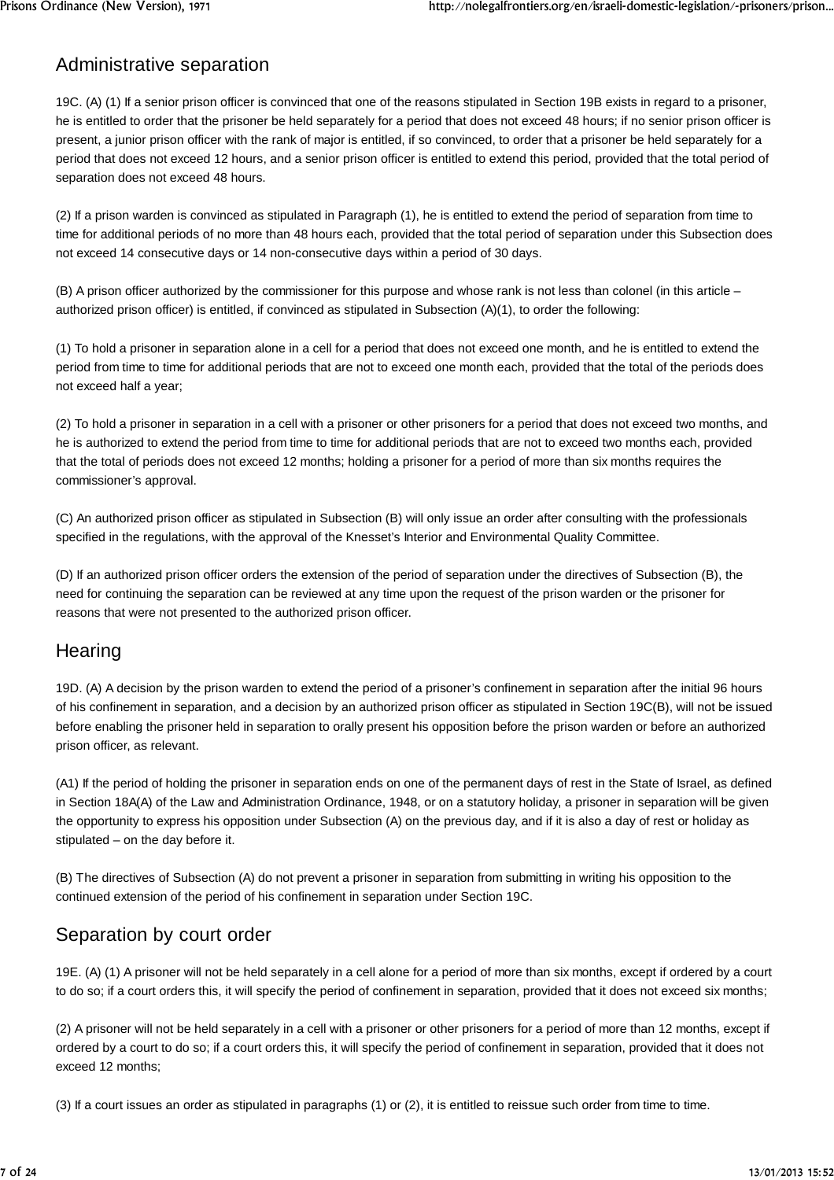## Administrative separation

19C. (A) (1) If a senior prison officer is convinced that one of the reasons stipulated in Section 19B exists in regard to a prisoner, he is entitled to order that the prisoner be held separately for a period that does not exceed 48 hours; if no senior prison officer is present, a junior prison officer with the rank of major is entitled, if so convinced, to order that a prisoner be held separately for a period that does not exceed 12 hours, and a senior prison officer is entitled to extend this period, provided that the total period of separation does not exceed 48 hours.

(2) If a prison warden is convinced as stipulated in Paragraph (1), he is entitled to extend the period of separation from time to time for additional periods of no more than 48 hours each, provided that the total period of separation under this Subsection does not exceed 14 consecutive days or 14 non-consecutive days within a period of 30 days.

(B) A prison officer authorized by the commissioner for this purpose and whose rank is not less than colonel (in this article – authorized prison officer) is entitled, if convinced as stipulated in Subsection (A)(1), to order the following:

(1) To hold a prisoner in separation alone in a cell for a period that does not exceed one month, and he is entitled to extend the period from time to time for additional periods that are not to exceed one month each, provided that the total of the periods does not exceed half a year;

(2) To hold a prisoner in separation in a cell with a prisoner or other prisoners for a period that does not exceed two months, and he is authorized to extend the period from time to time for additional periods that are not to exceed two months each, provided that the total of periods does not exceed 12 months; holding a prisoner for a period of more than six months requires the commissioner's approval.

(C) An authorized prison officer as stipulated in Subsection (B) will only issue an order after consulting with the professionals specified in the regulations, with the approval of the Knesset's Interior and Environmental Quality Committee.

(D) If an authorized prison officer orders the extension of the period of separation under the directives of Subsection (B), the need for continuing the separation can be reviewed at any time upon the request of the prison warden or the prisoner for reasons that were not presented to the authorized prison officer.

#### **Hearing**

19D. (A) A decision by the prison warden to extend the period of a prisoner's confinement in separation after the initial 96 hours of his confinement in separation, and a decision by an authorized prison officer as stipulated in Section 19C(B), will not be issued before enabling the prisoner held in separation to orally present his opposition before the prison warden or before an authorized prison officer, as relevant.

(A1) If the period of holding the prisoner in separation ends on one of the permanent days of rest in the State of Israel, as defined in Section 18A(A) of the Law and Administration Ordinance, 1948, or on a statutory holiday, a prisoner in separation will be given the opportunity to express his opposition under Subsection (A) on the previous day, and if it is also a day of rest or holiday as stipulated – on the day before it.

(B) The directives of Subsection (A) do not prevent a prisoner in separation from submitting in writing his opposition to the continued extension of the period of his confinement in separation under Section 19C.

#### Separation by court order

19E. (A) (1) A prisoner will not be held separately in a cell alone for a period of more than six months, except if ordered by a court to do so; if a court orders this, it will specify the period of confinement in separation, provided that it does not exceed six months;

(2) A prisoner will not be held separately in a cell with a prisoner or other prisoners for a period of more than 12 months, except if ordered by a court to do so; if a court orders this, it will specify the period of confinement in separation, provided that it does not exceed 12 months;

(3) If a court issues an order as stipulated in paragraphs (1) or (2), it is entitled to reissue such order from time to time.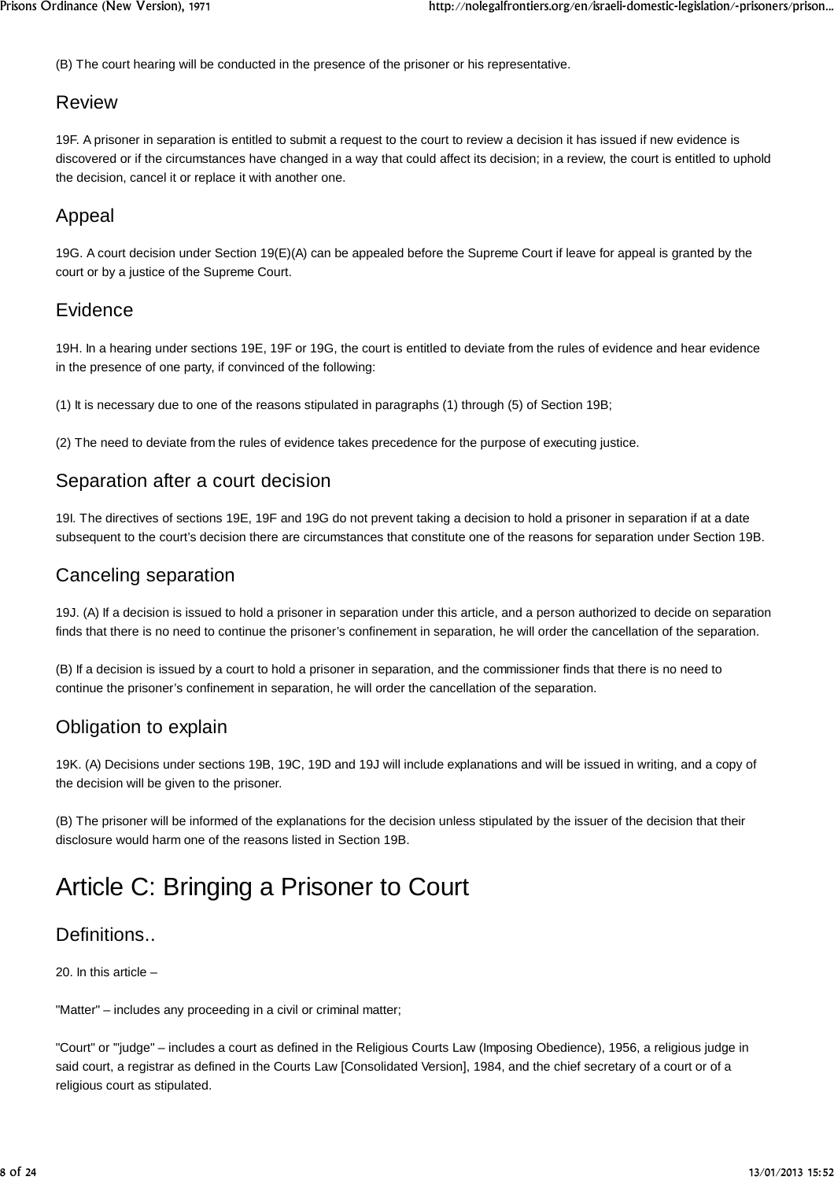(B) The court hearing will be conducted in the presence of the prisoner or his representative.

#### Review

19F. A prisoner in separation is entitled to submit a request to the court to review a decision it has issued if new evidence is discovered or if the circumstances have changed in a way that could affect its decision; in a review, the court is entitled to uphold the decision, cancel it or replace it with another one.

#### Appeal

19G. A court decision under Section 19(E)(A) can be appealed before the Supreme Court if leave for appeal is granted by the court or by a justice of the Supreme Court.

#### Evidence

19H. In a hearing under sections 19E, 19F or 19G, the court is entitled to deviate from the rules of evidence and hear evidence in the presence of one party, if convinced of the following:

(1) It is necessary due to one of the reasons stipulated in paragraphs (1) through (5) of Section 19B;

(2) The need to deviate from the rules of evidence takes precedence for the purpose of executing justice.

#### Separation after a court decision

19I. The directives of sections 19E, 19F and 19G do not prevent taking a decision to hold a prisoner in separation if at a date subsequent to the court's decision there are circumstances that constitute one of the reasons for separation under Section 19B.

#### Canceling separation

19J. (A) If a decision is issued to hold a prisoner in separation under this article, and a person authorized to decide on separation finds that there is no need to continue the prisoner's confinement in separation, he will order the cancellation of the separation.

(B) If a decision is issued by a court to hold a prisoner in separation, and the commissioner finds that there is no need to continue the prisoner's confinement in separation, he will order the cancellation of the separation.

## Obligation to explain

19K. (A) Decisions under sections 19B, 19C, 19D and 19J will include explanations and will be issued in writing, and a copy of the decision will be given to the prisoner.

(B) The prisoner will be informed of the explanations for the decision unless stipulated by the issuer of the decision that their disclosure would harm one of the reasons listed in Section 19B.

## Article C: Bringing a Prisoner to Court

#### Definitions..

20. In this article –

"Matter" – includes any proceeding in a civil or criminal matter;

"Court" or '"judge" – includes a court as defined in the Religious Courts Law (Imposing Obedience), 1956, a religious judge in said court, a registrar as defined in the Courts Law [Consolidated Version], 1984, and the chief secretary of a court or of a religious court as stipulated.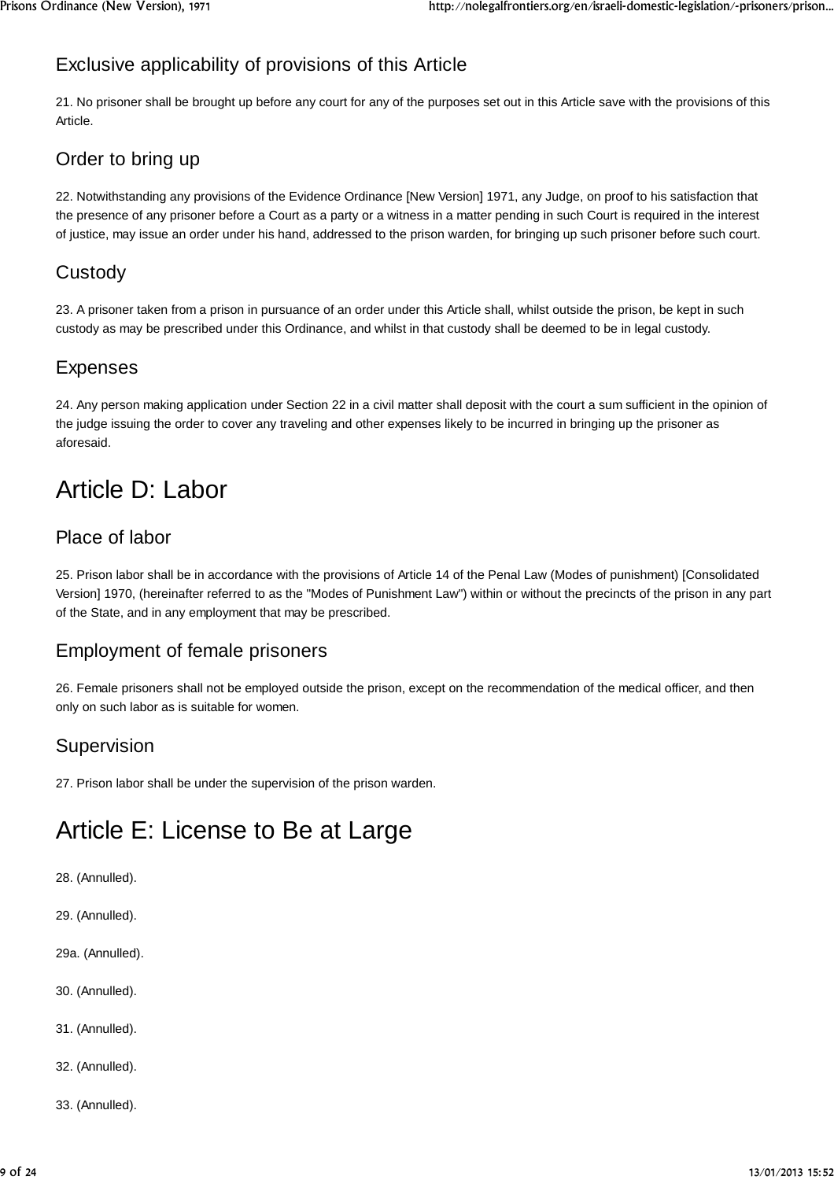## Exclusive applicability of provisions of this Article

21. No prisoner shall be brought up before any court for any of the purposes set out in this Article save with the provisions of this Article.

## Order to bring up

22. Notwithstanding any provisions of the Evidence Ordinance [New Version] 1971, any Judge, on proof to his satisfaction that the presence of any prisoner before a Court as a party or a witness in a matter pending in such Court is required in the interest of justice, may issue an order under his hand, addressed to the prison warden, for bringing up such prisoner before such court.

## Custody

23. A prisoner taken from a prison in pursuance of an order under this Article shall, whilst outside the prison, be kept in such custody as may be prescribed under this Ordinance, and whilst in that custody shall be deemed to be in legal custody.

#### Expenses

24. Any person making application under Section 22 in a civil matter shall deposit with the court a sum sufficient in the opinion of the judge issuing the order to cover any traveling and other expenses likely to be incurred in bringing up the prisoner as aforesaid.

# Article D: Labor

## Place of labor

25. Prison labor shall be in accordance with the provisions of Article 14 of the Penal Law (Modes of punishment) [Consolidated Version] 1970, (hereinafter referred to as the "Modes of Punishment Law") within or without the precincts of the prison in any part of the State, and in any employment that may be prescribed.

## Employment of female prisoners

26. Female prisoners shall not be employed outside the prison, except on the recommendation of the medical officer, and then only on such labor as is suitable for women.

## Supervision

27. Prison labor shall be under the supervision of the prison warden.

# Article E: License to Be at Large

- 28. (Annulled).
- 29. (Annulled).
- 29a. (Annulled).
- 30. (Annulled).
- 31. (Annulled).
- 32. (Annulled).
- 33. (Annulled).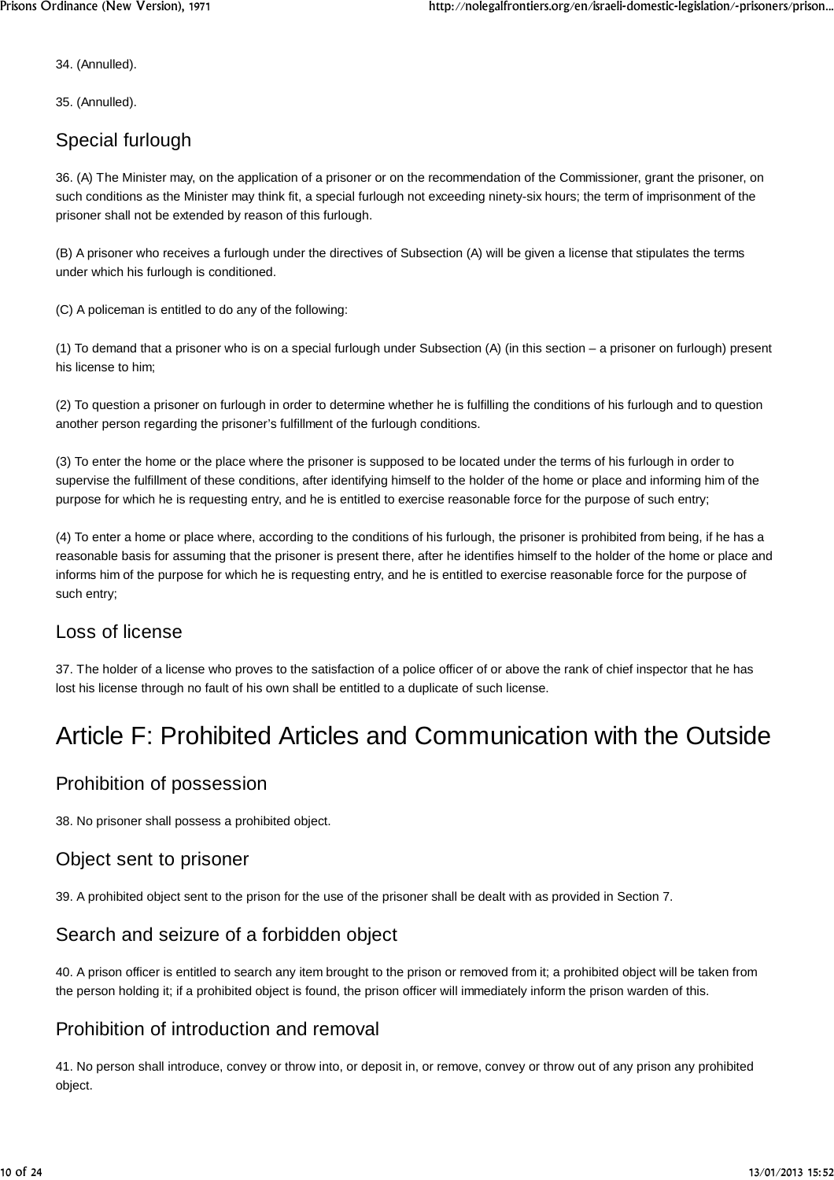34. (Annulled).

35. (Annulled).

## Special furlough

36. (A) The Minister may, on the application of a prisoner or on the recommendation of the Commissioner, grant the prisoner, on such conditions as the Minister may think fit, a special furlough not exceeding ninety-six hours; the term of imprisonment of the prisoner shall not be extended by reason of this furlough.

(B) A prisoner who receives a furlough under the directives of Subsection (A) will be given a license that stipulates the terms under which his furlough is conditioned.

(C) A policeman is entitled to do any of the following:

(1) To demand that a prisoner who is on a special furlough under Subsection (A) (in this section – a prisoner on furlough) present his license to him;

(2) To question a prisoner on furlough in order to determine whether he is fulfilling the conditions of his furlough and to question another person regarding the prisoner's fulfillment of the furlough conditions.

(3) To enter the home or the place where the prisoner is supposed to be located under the terms of his furlough in order to supervise the fulfillment of these conditions, after identifying himself to the holder of the home or place and informing him of the purpose for which he is requesting entry, and he is entitled to exercise reasonable force for the purpose of such entry;

(4) To enter a home or place where, according to the conditions of his furlough, the prisoner is prohibited from being, if he has a reasonable basis for assuming that the prisoner is present there, after he identifies himself to the holder of the home or place and informs him of the purpose for which he is requesting entry, and he is entitled to exercise reasonable force for the purpose of such entry;

#### Loss of license

37. The holder of a license who proves to the satisfaction of a police officer of or above the rank of chief inspector that he has lost his license through no fault of his own shall be entitled to a duplicate of such license.

## Article F: Prohibited Articles and Communication with the Outside

#### Prohibition of possession

38. No prisoner shall possess a prohibited object.

#### Object sent to prisoner

39. A prohibited object sent to the prison for the use of the prisoner shall be dealt with as provided in Section 7.

## Search and seizure of a forbidden object

40. A prison officer is entitled to search any item brought to the prison or removed from it; a prohibited object will be taken from the person holding it; if a prohibited object is found, the prison officer will immediately inform the prison warden of this.

#### Prohibition of introduction and removal

41. No person shall introduce, convey or throw into, or deposit in, or remove, convey or throw out of any prison any prohibited object.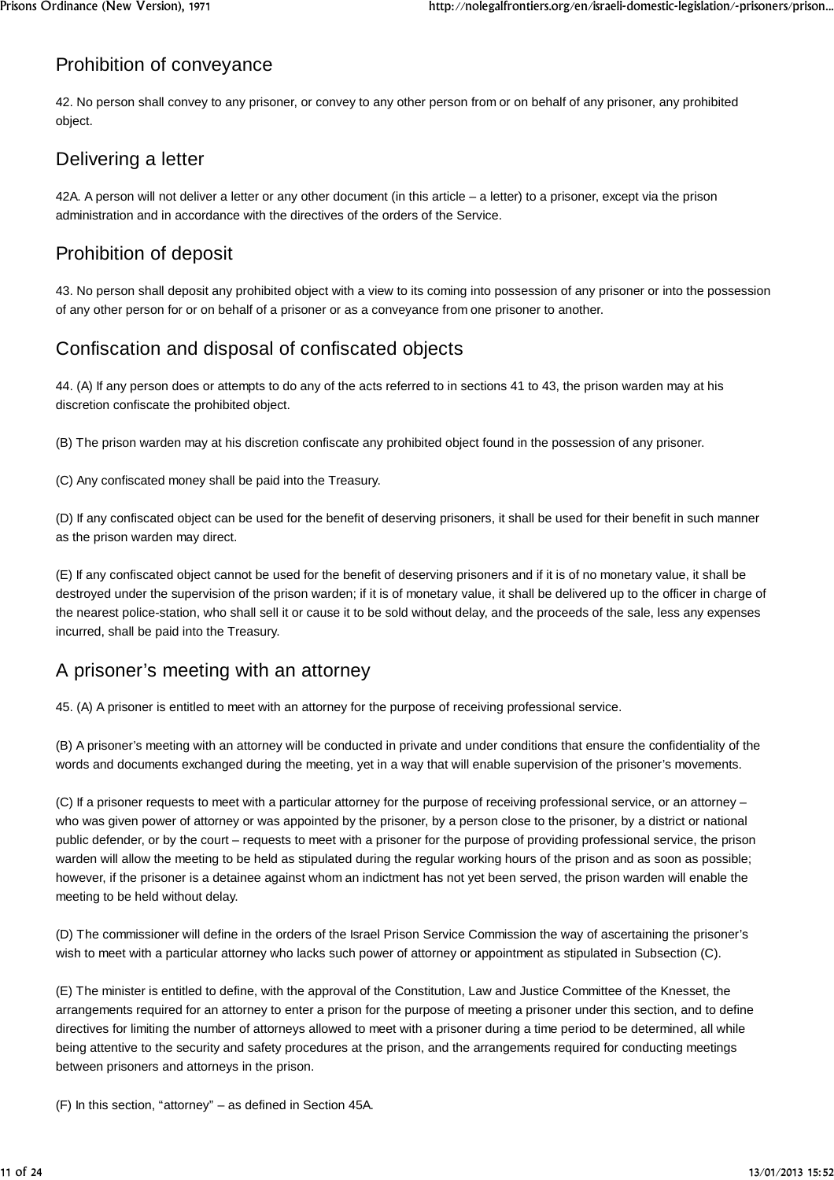## Prohibition of conveyance

42. No person shall convey to any prisoner, or convey to any other person from or on behalf of any prisoner, any prohibited object.

## Delivering a letter

42A. A person will not deliver a letter or any other document (in this article – a letter) to a prisoner, except via the prison administration and in accordance with the directives of the orders of the Service.

## Prohibition of deposit

43. No person shall deposit any prohibited object with a view to its coming into possession of any prisoner or into the possession of any other person for or on behalf of a prisoner or as a conveyance from one prisoner to another.

## Confiscation and disposal of confiscated objects

44. (A) If any person does or attempts to do any of the acts referred to in sections 41 to 43, the prison warden may at his discretion confiscate the prohibited object.

(B) The prison warden may at his discretion confiscate any prohibited object found in the possession of any prisoner.

(C) Any confiscated money shall be paid into the Treasury.

(D) If any confiscated object can be used for the benefit of deserving prisoners, it shall be used for their benefit in such manner as the prison warden may direct.

(E) If any confiscated object cannot be used for the benefit of deserving prisoners and if it is of no monetary value, it shall be destroyed under the supervision of the prison warden; if it is of monetary value, it shall be delivered up to the officer in charge of the nearest police-station, who shall sell it or cause it to be sold without delay, and the proceeds of the sale, less any expenses incurred, shall be paid into the Treasury.

#### A prisoner's meeting with an attorney

45. (A) A prisoner is entitled to meet with an attorney for the purpose of receiving professional service.

(B) A prisoner's meeting with an attorney will be conducted in private and under conditions that ensure the confidentiality of the words and documents exchanged during the meeting, yet in a way that will enable supervision of the prisoner's movements.

(C) If a prisoner requests to meet with a particular attorney for the purpose of receiving professional service, or an attorney – who was given power of attorney or was appointed by the prisoner, by a person close to the prisoner, by a district or national public defender, or by the court – requests to meet with a prisoner for the purpose of providing professional service, the prison warden will allow the meeting to be held as stipulated during the regular working hours of the prison and as soon as possible; however, if the prisoner is a detainee against whom an indictment has not yet been served, the prison warden will enable the meeting to be held without delay.

(D) The commissioner will define in the orders of the Israel Prison Service Commission the way of ascertaining the prisoner's wish to meet with a particular attorney who lacks such power of attorney or appointment as stipulated in Subsection (C).

(E) The minister is entitled to define, with the approval of the Constitution, Law and Justice Committee of the Knesset, the arrangements required for an attorney to enter a prison for the purpose of meeting a prisoner under this section, and to define directives for limiting the number of attorneys allowed to meet with a prisoner during a time period to be determined, all while being attentive to the security and safety procedures at the prison, and the arrangements required for conducting meetings between prisoners and attorneys in the prison.

(F) In this section, "attorney" – as defined in Section 45A.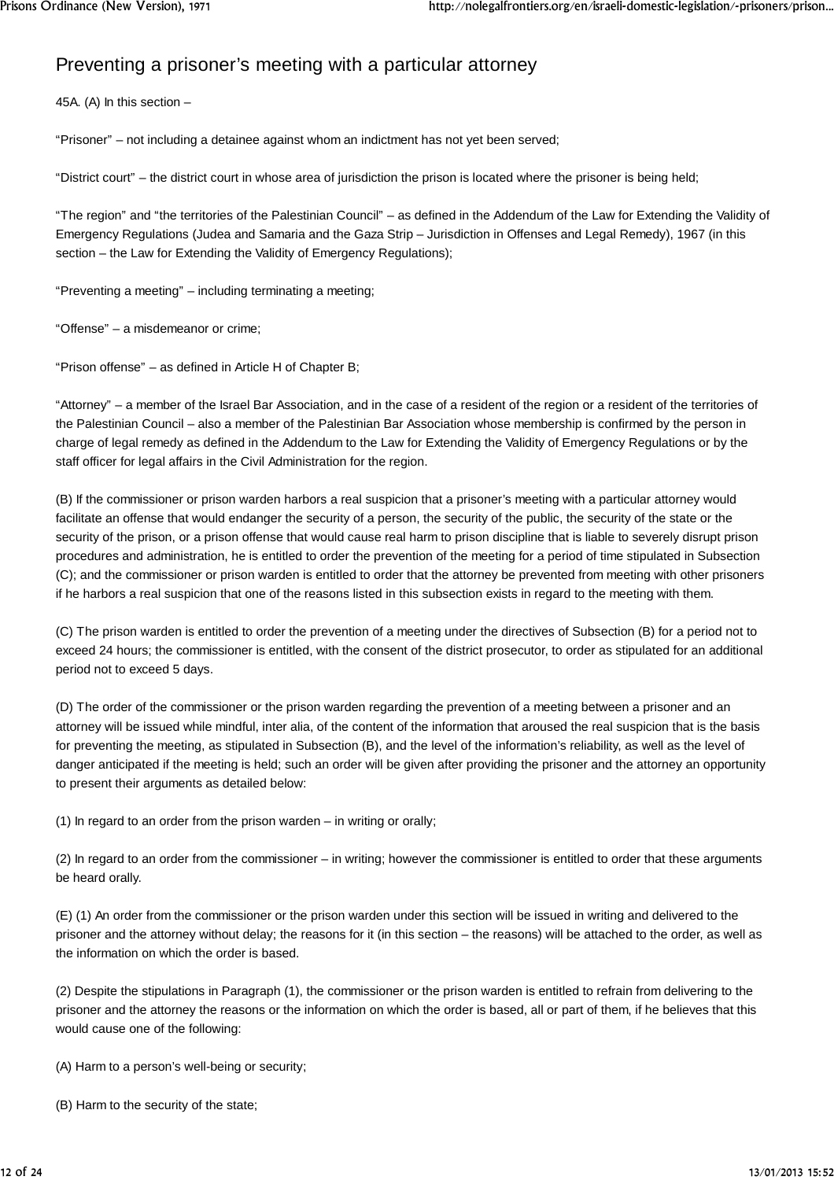## Preventing a prisoner's meeting with a particular attorney

45A. (A) In this section –

"Prisoner" – not including a detainee against whom an indictment has not yet been served;

"District court" – the district court in whose area of jurisdiction the prison is located where the prisoner is being held;

"The region" and "the territories of the Palestinian Council" – as defined in the Addendum of the Law for Extending the Validity of Emergency Regulations (Judea and Samaria and the Gaza Strip – Jurisdiction in Offenses and Legal Remedy), 1967 (in this section – the Law for Extending the Validity of Emergency Regulations);

"Preventing a meeting" – including terminating a meeting;

"Offense" – a misdemeanor or crime;

"Prison offense" – as defined in Article H of Chapter B;

"Attorney" – a member of the Israel Bar Association, and in the case of a resident of the region or a resident of the territories of the Palestinian Council – also a member of the Palestinian Bar Association whose membership is confirmed by the person in charge of legal remedy as defined in the Addendum to the Law for Extending the Validity of Emergency Regulations or by the staff officer for legal affairs in the Civil Administration for the region.

(B) If the commissioner or prison warden harbors a real suspicion that a prisoner's meeting with a particular attorney would facilitate an offense that would endanger the security of a person, the security of the public, the security of the state or the security of the prison, or a prison offense that would cause real harm to prison discipline that is liable to severely disrupt prison procedures and administration, he is entitled to order the prevention of the meeting for a period of time stipulated in Subsection (C); and the commissioner or prison warden is entitled to order that the attorney be prevented from meeting with other prisoners if he harbors a real suspicion that one of the reasons listed in this subsection exists in regard to the meeting with them.

(C) The prison warden is entitled to order the prevention of a meeting under the directives of Subsection (B) for a period not to exceed 24 hours; the commissioner is entitled, with the consent of the district prosecutor, to order as stipulated for an additional period not to exceed 5 days.

(D) The order of the commissioner or the prison warden regarding the prevention of a meeting between a prisoner and an attorney will be issued while mindful, inter alia, of the content of the information that aroused the real suspicion that is the basis for preventing the meeting, as stipulated in Subsection (B), and the level of the information's reliability, as well as the level of danger anticipated if the meeting is held; such an order will be given after providing the prisoner and the attorney an opportunity to present their arguments as detailed below:

(1) In regard to an order from the prison warden  $-$  in writing or orally;

(2) In regard to an order from the commissioner – in writing; however the commissioner is entitled to order that these arguments be heard orally.

(E) (1) An order from the commissioner or the prison warden under this section will be issued in writing and delivered to the prisoner and the attorney without delay; the reasons for it (in this section – the reasons) will be attached to the order, as well as the information on which the order is based.

(2) Despite the stipulations in Paragraph (1), the commissioner or the prison warden is entitled to refrain from delivering to the prisoner and the attorney the reasons or the information on which the order is based, all or part of them, if he believes that this would cause one of the following:

(A) Harm to a person's well-being or security;

(B) Harm to the security of the state;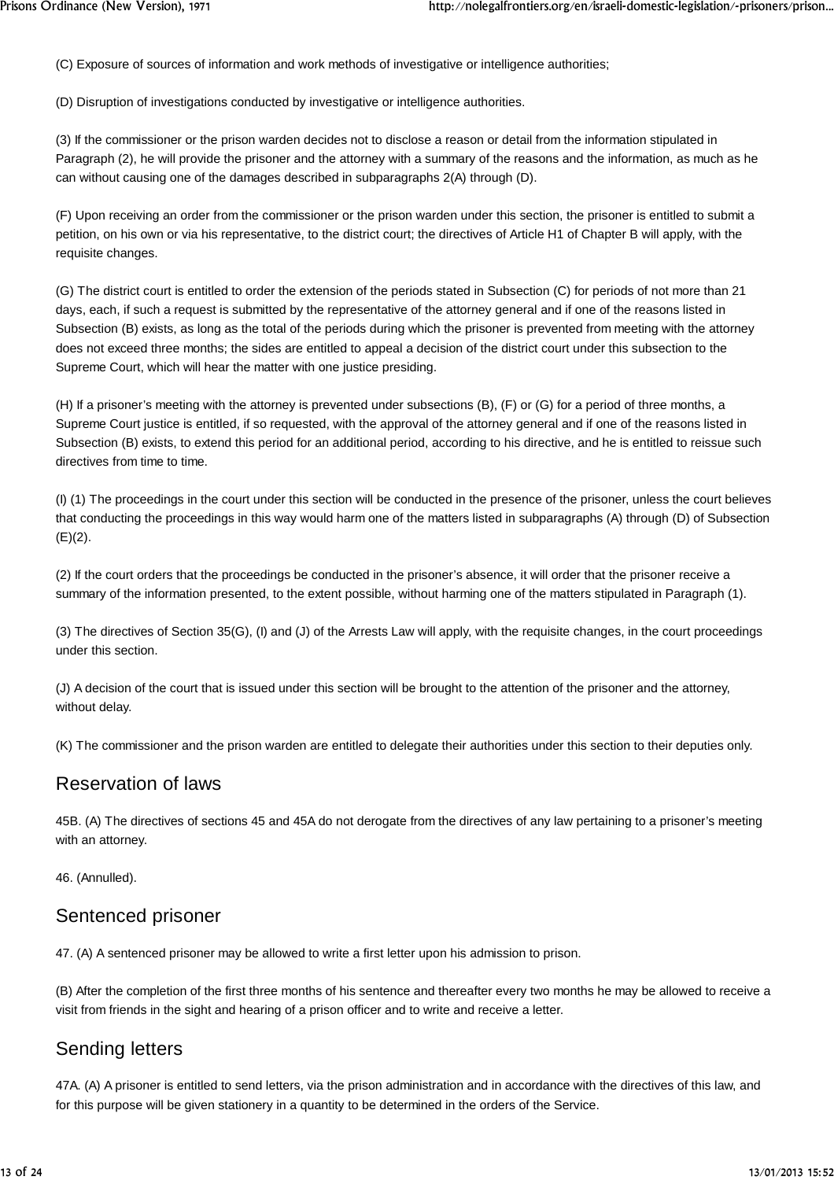(C) Exposure of sources of information and work methods of investigative or intelligence authorities;

(D) Disruption of investigations conducted by investigative or intelligence authorities.

(3) If the commissioner or the prison warden decides not to disclose a reason or detail from the information stipulated in Paragraph (2), he will provide the prisoner and the attorney with a summary of the reasons and the information, as much as he can without causing one of the damages described in subparagraphs 2(A) through (D).

(F) Upon receiving an order from the commissioner or the prison warden under this section, the prisoner is entitled to submit a petition, on his own or via his representative, to the district court; the directives of Article H1 of Chapter B will apply, with the requisite changes.

(G) The district court is entitled to order the extension of the periods stated in Subsection (C) for periods of not more than 21 days, each, if such a request is submitted by the representative of the attorney general and if one of the reasons listed in Subsection (B) exists, as long as the total of the periods during which the prisoner is prevented from meeting with the attorney does not exceed three months; the sides are entitled to appeal a decision of the district court under this subsection to the Supreme Court, which will hear the matter with one justice presiding.

(H) If a prisoner's meeting with the attorney is prevented under subsections (B), (F) or (G) for a period of three months, a Supreme Court justice is entitled, if so requested, with the approval of the attorney general and if one of the reasons listed in Subsection (B) exists, to extend this period for an additional period, according to his directive, and he is entitled to reissue such directives from time to time.

(I) (1) The proceedings in the court under this section will be conducted in the presence of the prisoner, unless the court believes that conducting the proceedings in this way would harm one of the matters listed in subparagraphs (A) through (D) of Subsection (E)(2).

(2) If the court orders that the proceedings be conducted in the prisoner's absence, it will order that the prisoner receive a summary of the information presented, to the extent possible, without harming one of the matters stipulated in Paragraph (1).

(3) The directives of Section 35(G), (I) and (J) of the Arrests Law will apply, with the requisite changes, in the court proceedings under this section.

(J) A decision of the court that is issued under this section will be brought to the attention of the prisoner and the attorney, without delay.

(K) The commissioner and the prison warden are entitled to delegate their authorities under this section to their deputies only.

#### Reservation of laws

45B. (A) The directives of sections 45 and 45A do not derogate from the directives of any law pertaining to a prisoner's meeting with an attorney.

46. (Annulled).

#### Sentenced prisoner

47. (A) A sentenced prisoner may be allowed to write a first letter upon his admission to prison.

(B) After the completion of the first three months of his sentence and thereafter every two months he may be allowed to receive a visit from friends in the sight and hearing of a prison officer and to write and receive a letter.

#### Sending letters

47A. (A) A prisoner is entitled to send letters, via the prison administration and in accordance with the directives of this law, and for this purpose will be given stationery in a quantity to be determined in the orders of the Service.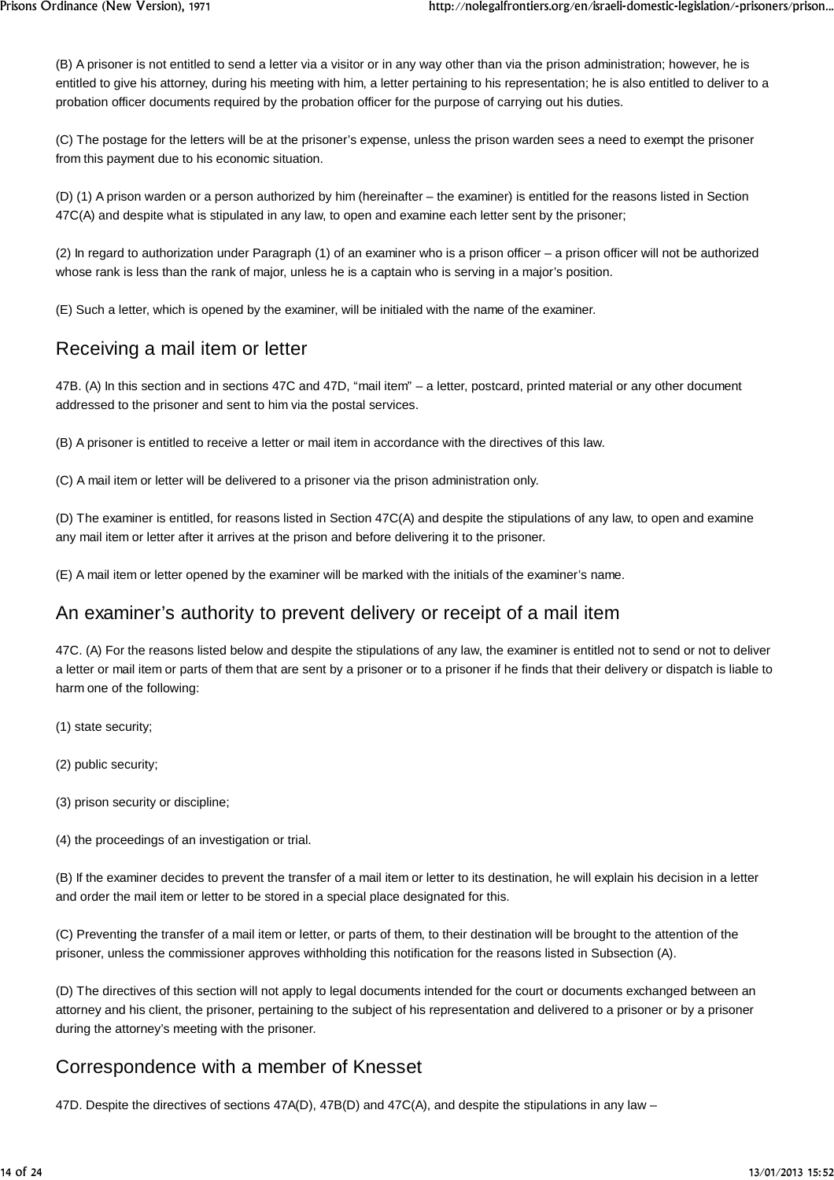(B) A prisoner is not entitled to send a letter via a visitor or in any way other than via the prison administration; however, he is entitled to give his attorney, during his meeting with him, a letter pertaining to his representation; he is also entitled to deliver to a probation officer documents required by the probation officer for the purpose of carrying out his duties.

(C) The postage for the letters will be at the prisoner's expense, unless the prison warden sees a need to exempt the prisoner from this payment due to his economic situation.

(D) (1) A prison warden or a person authorized by him (hereinafter – the examiner) is entitled for the reasons listed in Section 47C(A) and despite what is stipulated in any law, to open and examine each letter sent by the prisoner;

(2) In regard to authorization under Paragraph (1) of an examiner who is a prison officer – a prison officer will not be authorized whose rank is less than the rank of major, unless he is a captain who is serving in a major's position.

(E) Such a letter, which is opened by the examiner, will be initialed with the name of the examiner.

#### Receiving a mail item or letter

47B. (A) In this section and in sections 47C and 47D, "mail item" – a letter, postcard, printed material or any other document addressed to the prisoner and sent to him via the postal services.

(B) A prisoner is entitled to receive a letter or mail item in accordance with the directives of this law.

(C) A mail item or letter will be delivered to a prisoner via the prison administration only.

(D) The examiner is entitled, for reasons listed in Section 47C(A) and despite the stipulations of any law, to open and examine any mail item or letter after it arrives at the prison and before delivering it to the prisoner.

(E) A mail item or letter opened by the examiner will be marked with the initials of the examiner's name.

#### An examiner's authority to prevent delivery or receipt of a mail item

47C. (A) For the reasons listed below and despite the stipulations of any law, the examiner is entitled not to send or not to deliver a letter or mail item or parts of them that are sent by a prisoner or to a prisoner if he finds that their delivery or dispatch is liable to harm one of the following:

- (1) state security;
- (2) public security;
- (3) prison security or discipline;
- (4) the proceedings of an investigation or trial.

(B) If the examiner decides to prevent the transfer of a mail item or letter to its destination, he will explain his decision in a letter and order the mail item or letter to be stored in a special place designated for this.

(C) Preventing the transfer of a mail item or letter, or parts of them, to their destination will be brought to the attention of the prisoner, unless the commissioner approves withholding this notification for the reasons listed in Subsection (A).

(D) The directives of this section will not apply to legal documents intended for the court or documents exchanged between an attorney and his client, the prisoner, pertaining to the subject of his representation and delivered to a prisoner or by a prisoner during the attorney's meeting with the prisoner.

#### Correspondence with a member of Knesset

47D. Despite the directives of sections 47A(D), 47B(D) and 47C(A), and despite the stipulations in any law –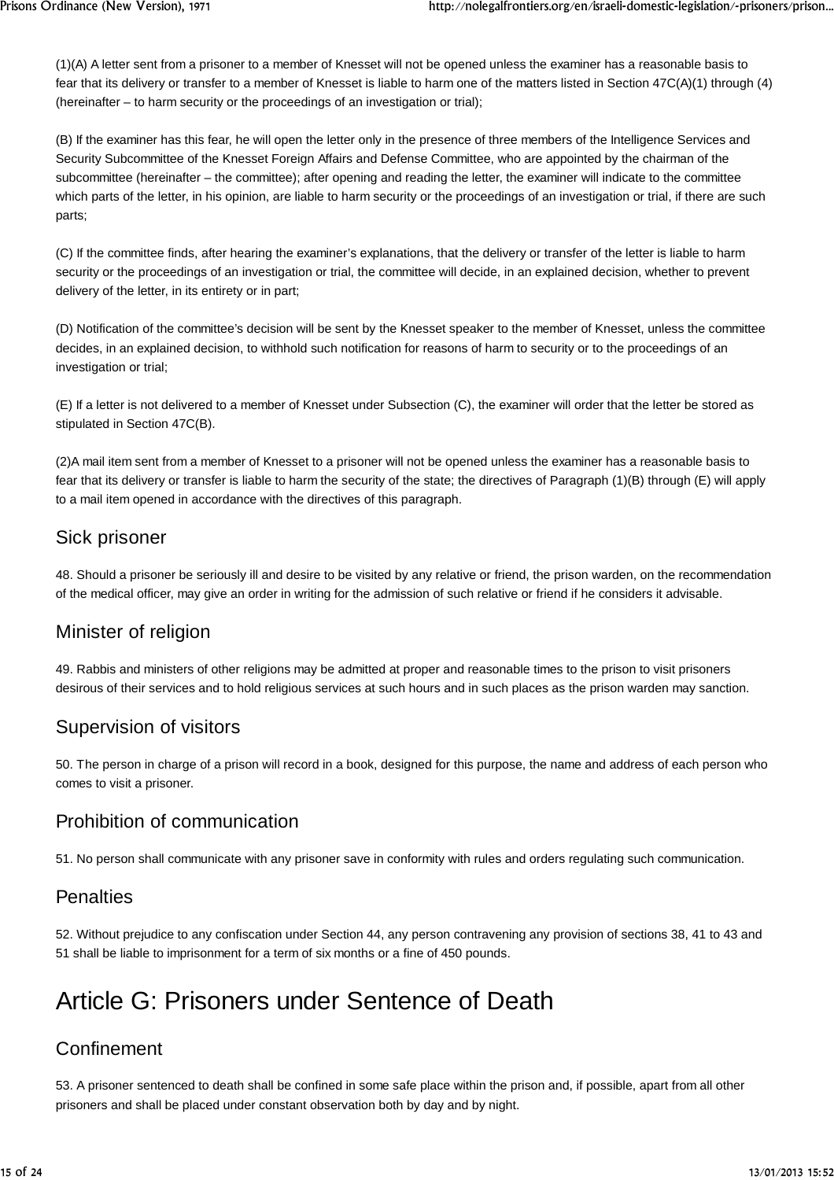(1)(A) A letter sent from a prisoner to a member of Knesset will not be opened unless the examiner has a reasonable basis to fear that its delivery or transfer to a member of Knesset is liable to harm one of the matters listed in Section 47C(A)(1) through (4) (hereinafter – to harm security or the proceedings of an investigation or trial);

(B) If the examiner has this fear, he will open the letter only in the presence of three members of the Intelligence Services and Security Subcommittee of the Knesset Foreign Affairs and Defense Committee, who are appointed by the chairman of the subcommittee (hereinafter – the committee); after opening and reading the letter, the examiner will indicate to the committee which parts of the letter, in his opinion, are liable to harm security or the proceedings of an investigation or trial, if there are such parts;

(C) If the committee finds, after hearing the examiner's explanations, that the delivery or transfer of the letter is liable to harm security or the proceedings of an investigation or trial, the committee will decide, in an explained decision, whether to prevent delivery of the letter, in its entirety or in part;

(D) Notification of the committee's decision will be sent by the Knesset speaker to the member of Knesset, unless the committee decides, in an explained decision, to withhold such notification for reasons of harm to security or to the proceedings of an investigation or trial;

(E) If a letter is not delivered to a member of Knesset under Subsection (C), the examiner will order that the letter be stored as stipulated in Section 47C(B).

(2)A mail item sent from a member of Knesset to a prisoner will not be opened unless the examiner has a reasonable basis to fear that its delivery or transfer is liable to harm the security of the state; the directives of Paragraph (1)(B) through (E) will apply to a mail item opened in accordance with the directives of this paragraph.

#### Sick prisoner

48. Should a prisoner be seriously ill and desire to be visited by any relative or friend, the prison warden, on the recommendation of the medical officer, may give an order in writing for the admission of such relative or friend if he considers it advisable.

## Minister of religion

49. Rabbis and ministers of other religions may be admitted at proper and reasonable times to the prison to visit prisoners desirous of their services and to hold religious services at such hours and in such places as the prison warden may sanction.

## Supervision of visitors

50. The person in charge of a prison will record in a book, designed for this purpose, the name and address of each person who comes to visit a prisoner.

## Prohibition of communication

51. No person shall communicate with any prisoner save in conformity with rules and orders regulating such communication.

#### **Penalties**

52. Without prejudice to any confiscation under Section 44, any person contravening any provision of sections 38, 41 to 43 and 51 shall be liable to imprisonment for a term of six months or a fine of 450 pounds.

# Article G: Prisoners under Sentence of Death

## **Confinement**

53. A prisoner sentenced to death shall be confined in some safe place within the prison and, if possible, apart from all other prisoners and shall be placed under constant observation both by day and by night.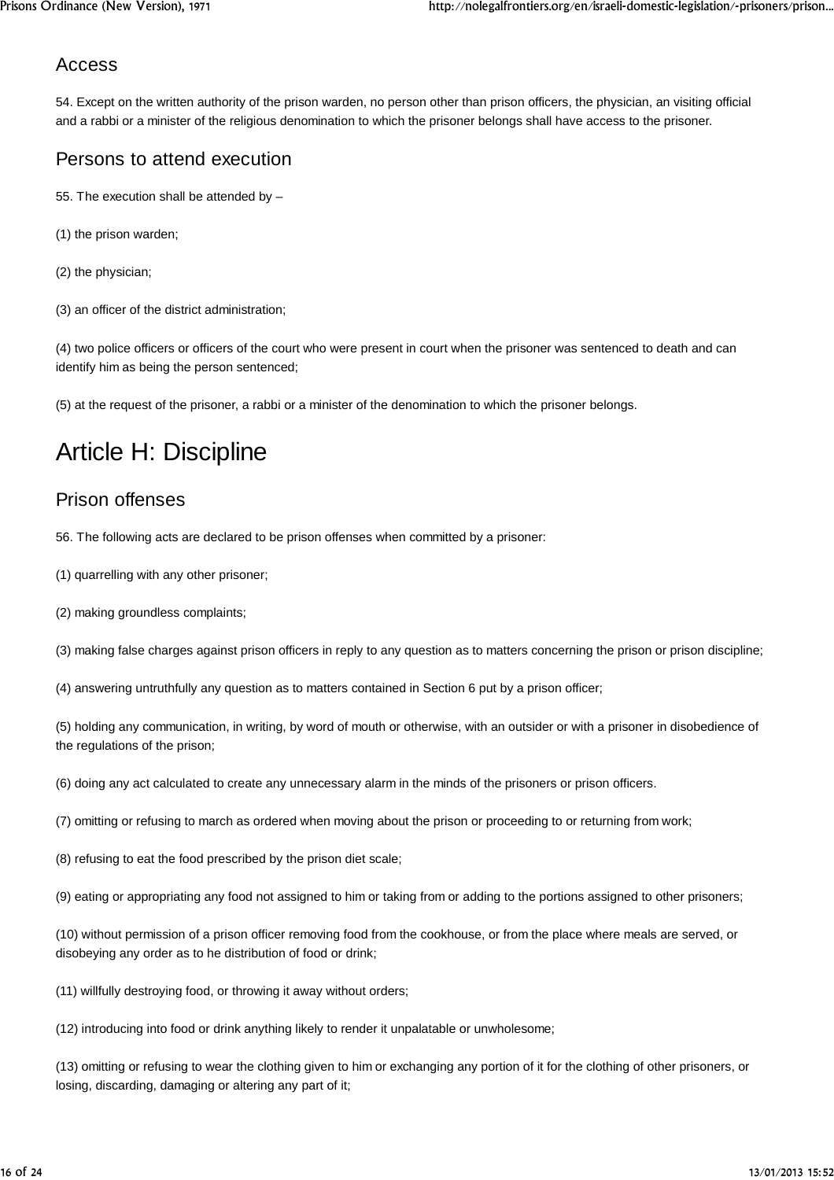#### Access

54. Except on the written authority of the prison warden, no person other than prison officers, the physician, an visiting official and a rabbi or a minister of the religious denomination to which the prisoner belongs shall have access to the prisoner.

#### Persons to attend execution

- 55. The execution shall be attended by –
- (1) the prison warden;
- (2) the physician;
- (3) an officer of the district administration;

(4) two police officers or officers of the court who were present in court when the prisoner was sentenced to death and can identify him as being the person sentenced;

(5) at the request of the prisoner, a rabbi or a minister of the denomination to which the prisoner belongs.

# Article H: Discipline

## Prison offenses

56. The following acts are declared to be prison offenses when committed by a prisoner:

(1) quarrelling with any other prisoner;

(2) making groundless complaints;

(3) making false charges against prison officers in reply to any question as to matters concerning the prison or prison discipline;

(4) answering untruthfully any question as to matters contained in Section 6 put by a prison officer;

(5) holding any communication, in writing, by word of mouth or otherwise, with an outsider or with a prisoner in disobedience of the regulations of the prison;

(6) doing any act calculated to create any unnecessary alarm in the minds of the prisoners or prison officers.

(7) omitting or refusing to march as ordered when moving about the prison or proceeding to or returning from work;

(8) refusing to eat the food prescribed by the prison diet scale;

(9) eating or appropriating any food not assigned to him or taking from or adding to the portions assigned to other prisoners;

(10) without permission of a prison officer removing food from the cookhouse, or from the place where meals are served, or disobeying any order as to he distribution of food or drink;

(11) willfully destroying food, or throwing it away without orders;

(12) introducing into food or drink anything likely to render it unpalatable or unwholesome;

(13) omitting or refusing to wear the clothing given to him or exchanging any portion of it for the clothing of other prisoners, or losing, discarding, damaging or altering any part of it;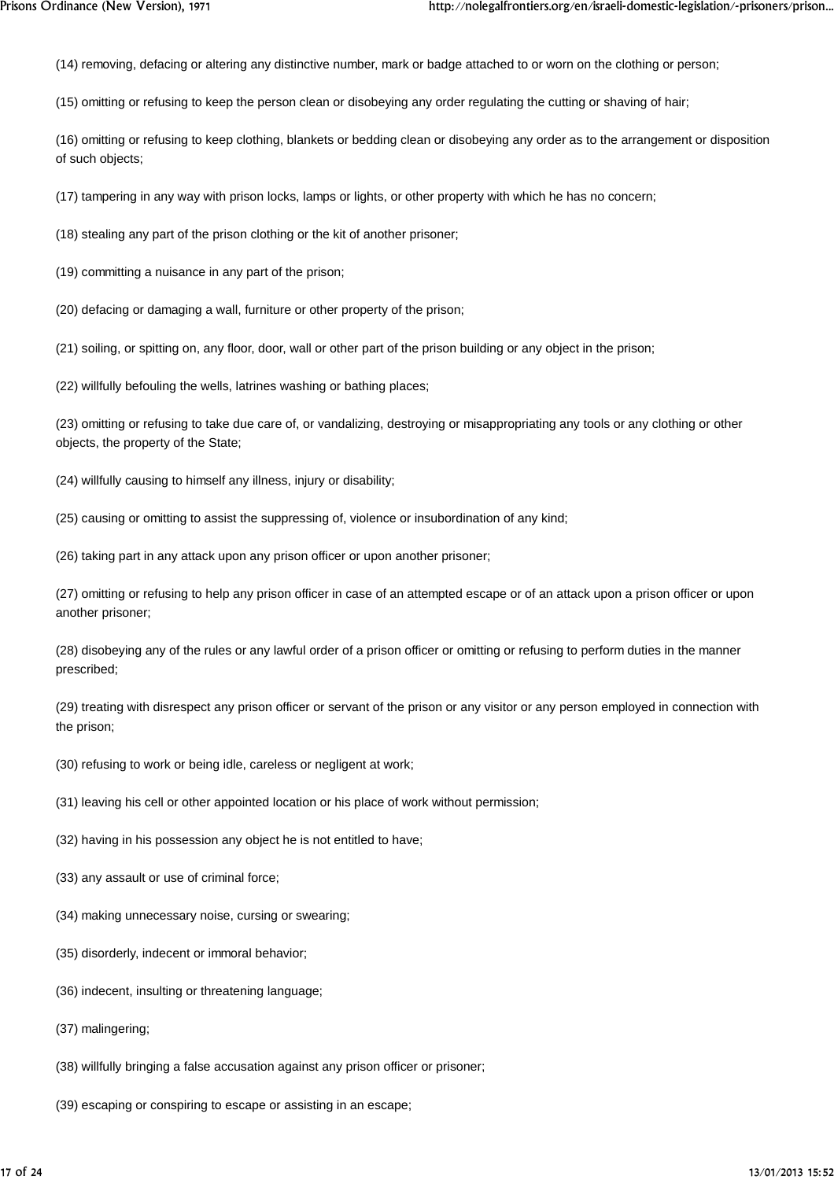(14) removing, defacing or altering any distinctive number, mark or badge attached to or worn on the clothing or person;

(15) omitting or refusing to keep the person clean or disobeying any order regulating the cutting or shaving of hair;

(16) omitting or refusing to keep clothing, blankets or bedding clean or disobeying any order as to the arrangement or disposition of such objects;

(17) tampering in any way with prison locks, lamps or lights, or other property with which he has no concern;

(18) stealing any part of the prison clothing or the kit of another prisoner;

(19) committing a nuisance in any part of the prison;

(20) defacing or damaging a wall, furniture or other property of the prison;

(21) soiling, or spitting on, any floor, door, wall or other part of the prison building or any object in the prison;

(22) willfully befouling the wells, latrines washing or bathing places;

(23) omitting or refusing to take due care of, or vandalizing, destroying or misappropriating any tools or any clothing or other objects, the property of the State;

- (24) willfully causing to himself any illness, injury or disability;
- (25) causing or omitting to assist the suppressing of, violence or insubordination of any kind;
- (26) taking part in any attack upon any prison officer or upon another prisoner;

(27) omitting or refusing to help any prison officer in case of an attempted escape or of an attack upon a prison officer or upon another prisoner;

(28) disobeying any of the rules or any lawful order of a prison officer or omitting or refusing to perform duties in the manner prescribed;

(29) treating with disrespect any prison officer or servant of the prison or any visitor or any person employed in connection with the prison;

- (30) refusing to work or being idle, careless or negligent at work;
- (31) leaving his cell or other appointed location or his place of work without permission;

(32) having in his possession any object he is not entitled to have;

- (33) any assault or use of criminal force;
- (34) making unnecessary noise, cursing or swearing;
- (35) disorderly, indecent or immoral behavior;
- (36) indecent, insulting or threatening language;
- (37) malingering;

(38) willfully bringing a false accusation against any prison officer or prisoner;

(39) escaping or conspiring to escape or assisting in an escape;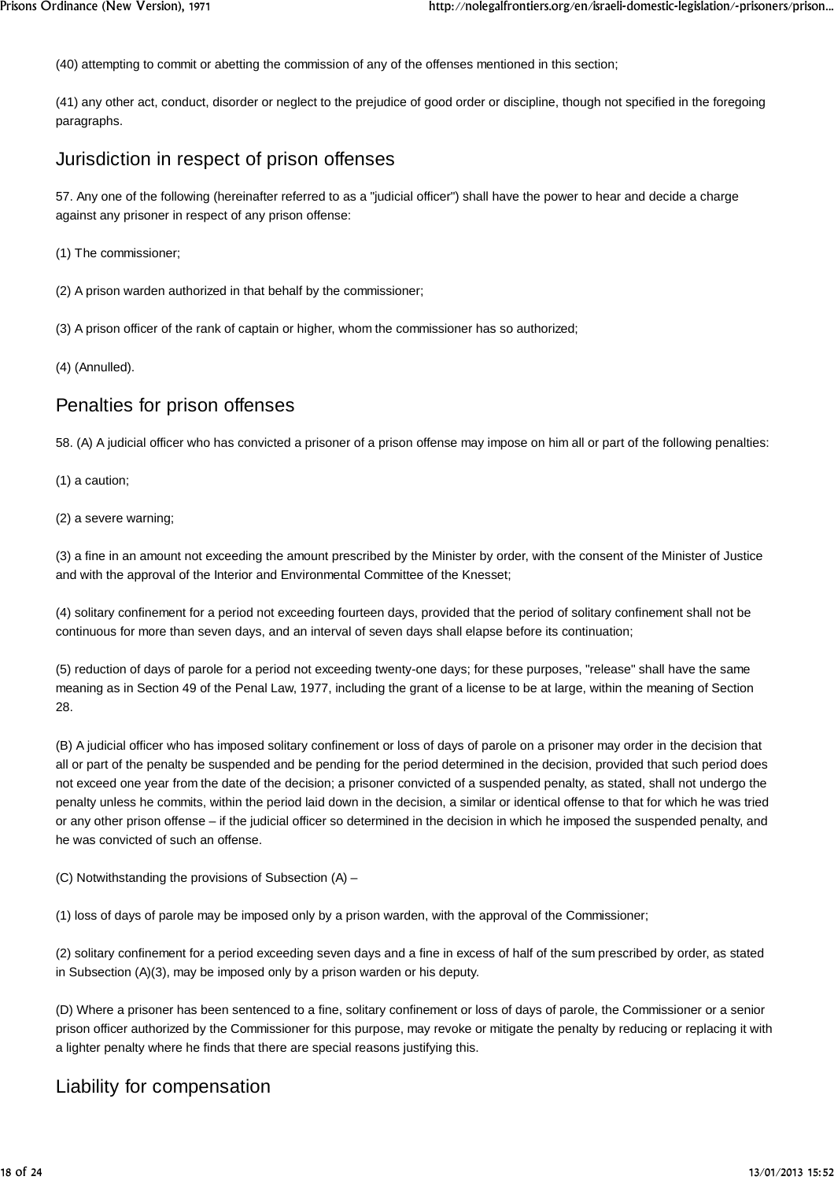(40) attempting to commit or abetting the commission of any of the offenses mentioned in this section;

(41) any other act, conduct, disorder or neglect to the prejudice of good order or discipline, though not specified in the foregoing paragraphs.

#### Jurisdiction in respect of prison offenses

57. Any one of the following (hereinafter referred to as a "judicial officer") shall have the power to hear and decide a charge against any prisoner in respect of any prison offense:

(1) The commissioner;

(2) A prison warden authorized in that behalf by the commissioner;

(3) A prison officer of the rank of captain or higher, whom the commissioner has so authorized;

(4) (Annulled).

#### Penalties for prison offenses

58. (A) A judicial officer who has convicted a prisoner of a prison offense may impose on him all or part of the following penalties:

(1) a caution;

(2) a severe warning;

(3) a fine in an amount not exceeding the amount prescribed by the Minister by order, with the consent of the Minister of Justice and with the approval of the Interior and Environmental Committee of the Knesset;

(4) solitary confinement for a period not exceeding fourteen days, provided that the period of solitary confinement shall not be continuous for more than seven days, and an interval of seven days shall elapse before its continuation;

(5) reduction of days of parole for a period not exceeding twenty-one days; for these purposes, "release" shall have the same meaning as in Section 49 of the Penal Law, 1977, including the grant of a license to be at large, within the meaning of Section 28.

(B) A judicial officer who has imposed solitary confinement or loss of days of parole on a prisoner may order in the decision that all or part of the penalty be suspended and be pending for the period determined in the decision, provided that such period does not exceed one year from the date of the decision; a prisoner convicted of a suspended penalty, as stated, shall not undergo the penalty unless he commits, within the period laid down in the decision, a similar or identical offense to that for which he was tried or any other prison offense – if the judicial officer so determined in the decision in which he imposed the suspended penalty, and he was convicted of such an offense.

(C) Notwithstanding the provisions of Subsection (A) –

(1) loss of days of parole may be imposed only by a prison warden, with the approval of the Commissioner;

(2) solitary confinement for a period exceeding seven days and a fine in excess of half of the sum prescribed by order, as stated in Subsection (A)(3), may be imposed only by a prison warden or his deputy.

(D) Where a prisoner has been sentenced to a fine, solitary confinement or loss of days of parole, the Commissioner or a senior prison officer authorized by the Commissioner for this purpose, may revoke or mitigate the penalty by reducing or replacing it with a lighter penalty where he finds that there are special reasons justifying this.

#### Liability for compensation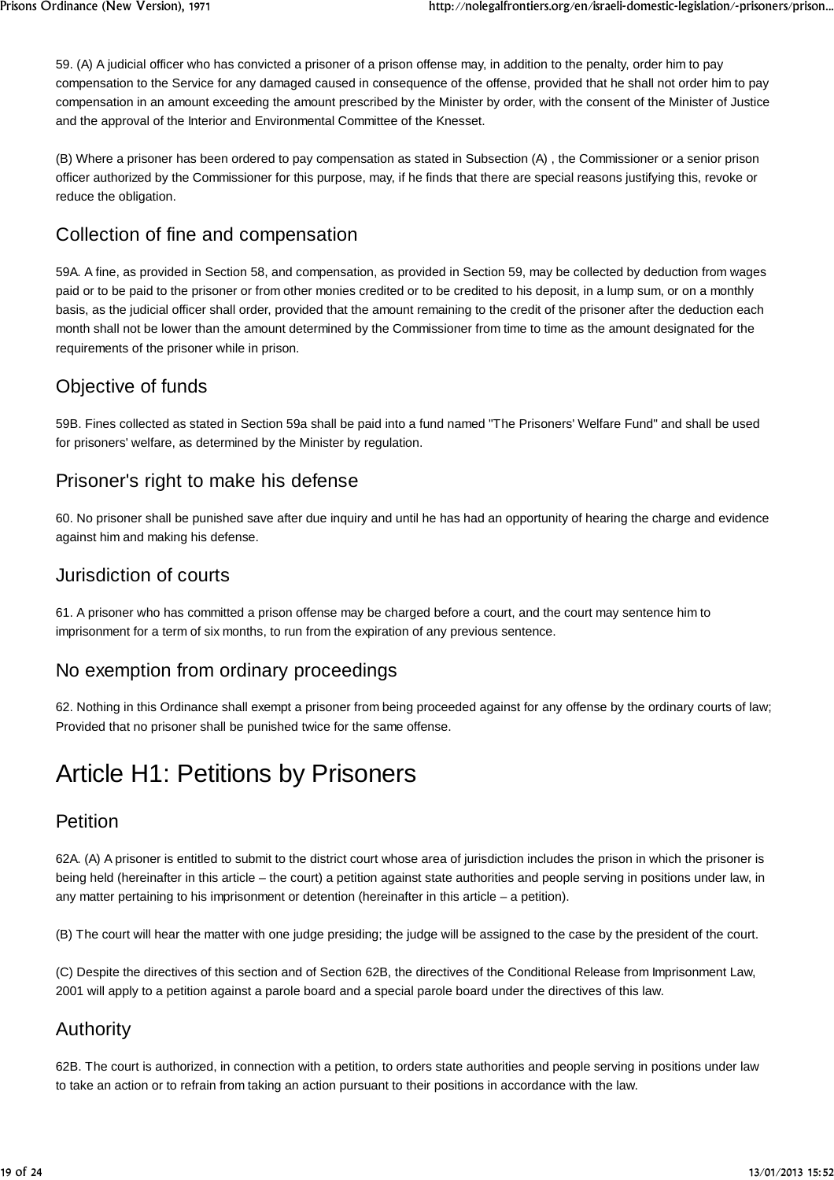59. (A) A judicial officer who has convicted a prisoner of a prison offense may, in addition to the penalty, order him to pay compensation to the Service for any damaged caused in consequence of the offense, provided that he shall not order him to pay compensation in an amount exceeding the amount prescribed by the Minister by order, with the consent of the Minister of Justice and the approval of the Interior and Environmental Committee of the Knesset.

(B) Where a prisoner has been ordered to pay compensation as stated in Subsection (A) , the Commissioner or a senior prison officer authorized by the Commissioner for this purpose, may, if he finds that there are special reasons justifying this, revoke or reduce the obligation.

### Collection of fine and compensation

59A. A fine, as provided in Section 58, and compensation, as provided in Section 59, may be collected by deduction from wages paid or to be paid to the prisoner or from other monies credited or to be credited to his deposit, in a lump sum, or on a monthly basis, as the judicial officer shall order, provided that the amount remaining to the credit of the prisoner after the deduction each month shall not be lower than the amount determined by the Commissioner from time to time as the amount designated for the requirements of the prisoner while in prison.

## Objective of funds

59B. Fines collected as stated in Section 59a shall be paid into a fund named "The Prisoners' Welfare Fund" and shall be used for prisoners' welfare, as determined by the Minister by regulation.

## Prisoner's right to make his defense

60. No prisoner shall be punished save after due inquiry and until he has had an opportunity of hearing the charge and evidence against him and making his defense.

#### Jurisdiction of courts

61. A prisoner who has committed a prison offense may be charged before a court, and the court may sentence him to imprisonment for a term of six months, to run from the expiration of any previous sentence.

## No exemption from ordinary proceedings

62. Nothing in this Ordinance shall exempt a prisoner from being proceeded against for any offense by the ordinary courts of law; Provided that no prisoner shall be punished twice for the same offense.

## Article H1: Petitions by Prisoners

## Petition

62A. (A) A prisoner is entitled to submit to the district court whose area of jurisdiction includes the prison in which the prisoner is being held (hereinafter in this article – the court) a petition against state authorities and people serving in positions under law, in any matter pertaining to his imprisonment or detention (hereinafter in this article – a petition).

(B) The court will hear the matter with one judge presiding; the judge will be assigned to the case by the president of the court.

(C) Despite the directives of this section and of Section 62B, the directives of the Conditional Release from Imprisonment Law, 2001 will apply to a petition against a parole board and a special parole board under the directives of this law.

## Authority

62B. The court is authorized, in connection with a petition, to orders state authorities and people serving in positions under law to take an action or to refrain from taking an action pursuant to their positions in accordance with the law.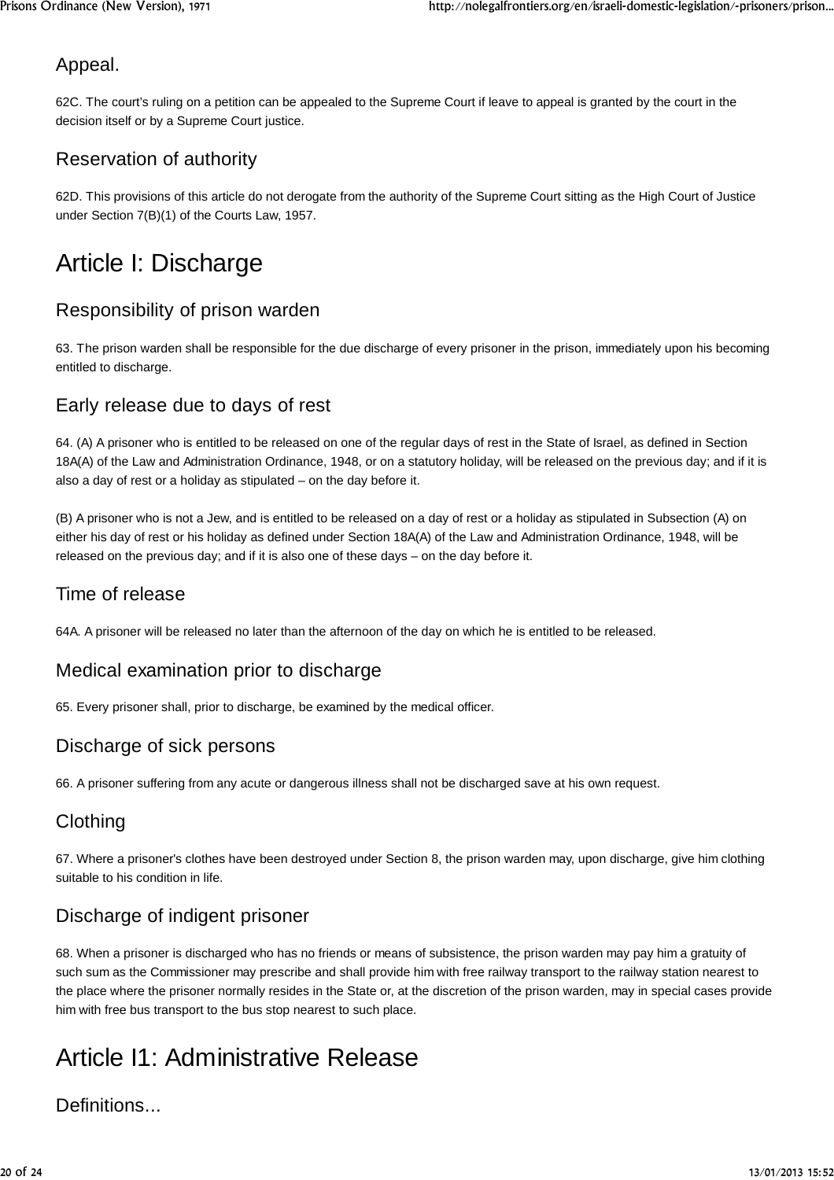## Appeal.

62C. The court's ruling on a petition can be appealed to the Supreme Court if leave to appeal is granted by the court in the decision itself or by a Supreme Court justice.

## Reservation of authority

62D. This provisions of this article do not derogate from the authority of the Supreme Court sitting as the High Court of Justice under Section 7(B)(1) of the Courts Law, 1957.

# Article I: Discharge

## Responsibility of prison warden

63. The prison warden shall be responsible for the due discharge of every prisoner in the prison, immediately upon his becoming entitled to discharge.

## Early release due to days of rest

64. (A) A prisoner who is entitled to be released on one of the regular days of rest in the State of Israel, as defined in Section 18A(A) of the Law and Administration Ordinance, 1948, or on a statutory holiday, will be released on the previous day; and if it is also a day of rest or a holiday as stipulated – on the day before it.

(B) A prisoner who is not a Jew, and is entitled to be released on a day of rest or a holiday as stipulated in Subsection (A) on either his day of rest or his holiday as defined under Section 18A(A) of the Law and Administration Ordinance, 1948, will be released on the previous day; and if it is also one of these days – on the day before it.

### Time of release

64A. A prisoner will be released no later than the afternoon of the day on which he is entitled to be released.

## Medical examination prior to discharge

65. Every prisoner shall, prior to discharge, be examined by the medical officer.

## Discharge of sick persons

66. A prisoner suffering from any acute or dangerous illness shall not be discharged save at his own request.

## Clothing

67. Where a prisoner's clothes have been destroyed under Section 8, the prison warden may, upon discharge, give him clothing suitable to his condition in life.

## Discharge of indigent prisoner

68. When a prisoner is discharged who has no friends or means of subsistence, the prison warden may pay him a gratuity of such sum as the Commissioner may prescribe and shall provide him with free railway transport to the railway station nearest to the place where the prisoner normally resides in the State or, at the discretion of the prison warden, may in special cases provide him with free bus transport to the bus stop nearest to such place.

# Article I1: Administrative Release

## Definitions...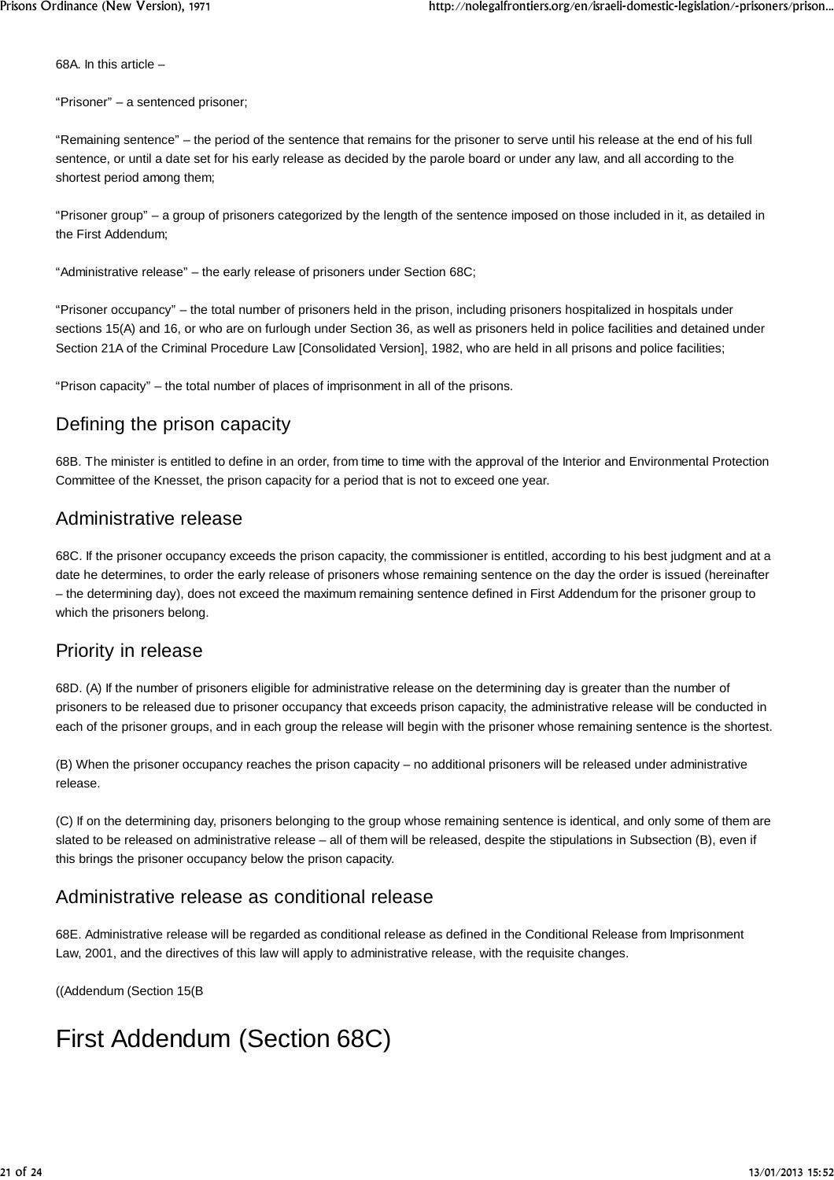68A. In this article –

"Prisoner" – a sentenced prisoner;

"Remaining sentence" – the period of the sentence that remains for the prisoner to serve until his release at the end of his full sentence, or until a date set for his early release as decided by the parole board or under any law, and all according to the shortest period among them;

"Prisoner group" – a group of prisoners categorized by the length of the sentence imposed on those included in it, as detailed in the First Addendum;

"Administrative release" – the early release of prisoners under Section 68C;

"Prisoner occupancy" – the total number of prisoners held in the prison, including prisoners hospitalized in hospitals under sections 15(A) and 16, or who are on furlough under Section 36, as well as prisoners held in police facilities and detained under Section 21A of the Criminal Procedure Law [Consolidated Version], 1982, who are held in all prisons and police facilities;

"Prison capacity" – the total number of places of imprisonment in all of the prisons.

#### Defining the prison capacity

68B. The minister is entitled to define in an order, from time to time with the approval of the Interior and Environmental Protection Committee of the Knesset, the prison capacity for a period that is not to exceed one year.

#### Administrative release

68C. If the prisoner occupancy exceeds the prison capacity, the commissioner is entitled, according to his best judgment and at a date he determines, to order the early release of prisoners whose remaining sentence on the day the order is issued (hereinafter – the determining day), does not exceed the maximum remaining sentence defined in First Addendum for the prisoner group to which the prisoners belong.

#### Priority in release

68D. (A) If the number of prisoners eligible for administrative release on the determining day is greater than the number of prisoners to be released due to prisoner occupancy that exceeds prison capacity, the administrative release will be conducted in each of the prisoner groups, and in each group the release will begin with the prisoner whose remaining sentence is the shortest.

(B) When the prisoner occupancy reaches the prison capacity – no additional prisoners will be released under administrative release.

(C) If on the determining day, prisoners belonging to the group whose remaining sentence is identical, and only some of them are slated to be released on administrative release – all of them will be released, despite the stipulations in Subsection (B), even if this brings the prisoner occupancy below the prison capacity.

#### Administrative release as conditional release

68E. Administrative release will be regarded as conditional release as defined in the Conditional Release from Imprisonment Law, 2001, and the directives of this law will apply to administrative release, with the requisite changes.

((Addendum (Section 15(B

## First Addendum (Section 68C)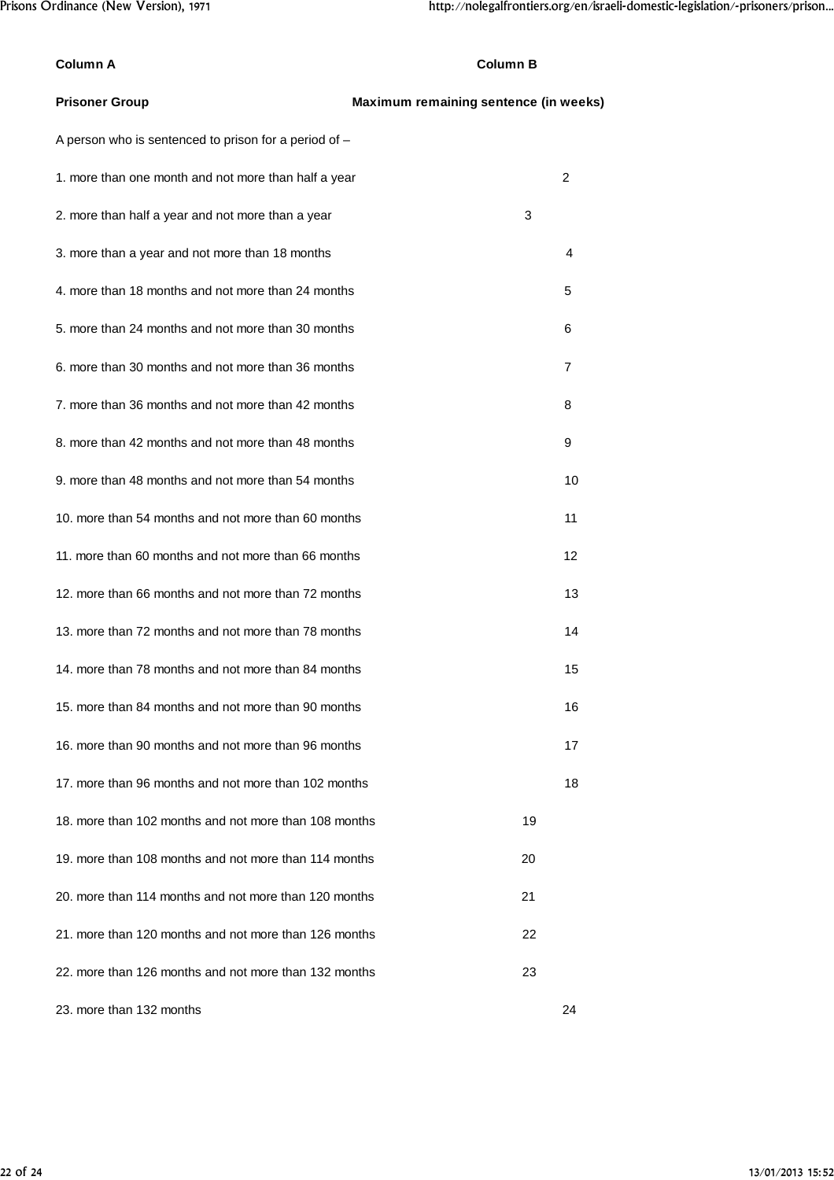| <b>Column A</b>                                       | <b>Column B</b>                       |    |
|-------------------------------------------------------|---------------------------------------|----|
| <b>Prisoner Group</b>                                 | Maximum remaining sentence (in weeks) |    |
| A person who is sentenced to prison for a period of - |                                       |    |
| 1. more than one month and not more than half a year  |                                       | 2  |
| 2. more than half a year and not more than a year     | 3                                     |    |
| 3. more than a year and not more than 18 months       |                                       | 4  |
| 4. more than 18 months and not more than 24 months    |                                       | 5  |
| 5. more than 24 months and not more than 30 months    |                                       | 6  |
| 6. more than 30 months and not more than 36 months    |                                       | 7  |
| 7. more than 36 months and not more than 42 months    |                                       | 8  |
| 8. more than 42 months and not more than 48 months    |                                       | 9  |
| 9. more than 48 months and not more than 54 months    |                                       | 10 |
| 10. more than 54 months and not more than 60 months   |                                       | 11 |
| 11, more than 60 months and not more than 66 months   |                                       | 12 |
| 12. more than 66 months and not more than 72 months   |                                       | 13 |
| 13. more than 72 months and not more than 78 months   |                                       | 14 |
| 14. more than 78 months and not more than 84 months   |                                       | 15 |
| 15, more than 84 months and not more than 90 months   |                                       | 16 |
| 16. more than 90 months and not more than 96 months   |                                       | 17 |
| 17, more than 96 months and not more than 102 months  |                                       | 18 |
| 18, more than 102 months and not more than 108 months | 19                                    |    |
| 19, more than 108 months and not more than 114 months | 20                                    |    |
| 20, more than 114 months and not more than 120 months | 21                                    |    |
| 21, more than 120 months and not more than 126 months | 22                                    |    |
| 22, more than 126 months and not more than 132 months | 23                                    |    |
| 23. more than 132 months                              |                                       | 24 |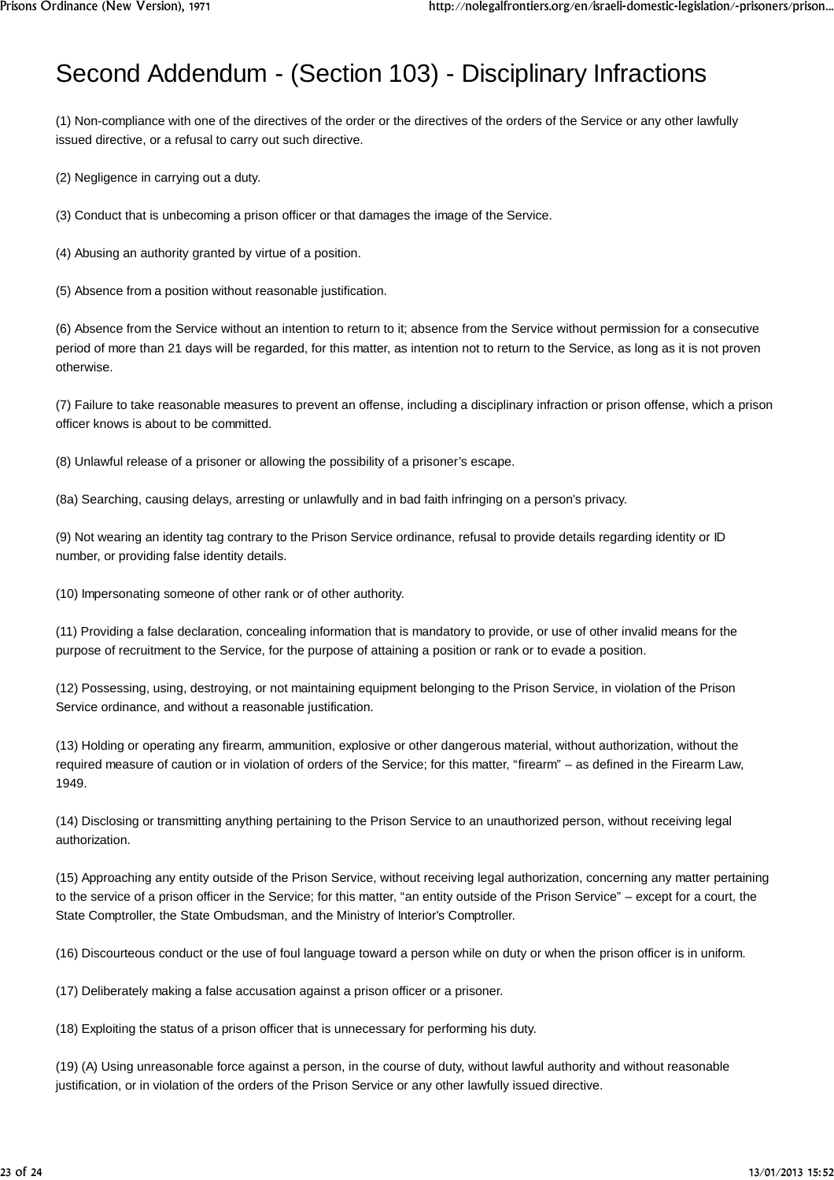# Second Addendum - (Section 103) - Disciplinary Infractions

(1) Non-compliance with one of the directives of the order or the directives of the orders of the Service or any other lawfully issued directive, or a refusal to carry out such directive.

(2) Negligence in carrying out a duty.

(3) Conduct that is unbecoming a prison officer or that damages the image of the Service.

(4) Abusing an authority granted by virtue of a position.

(5) Absence from a position without reasonable justification.

(6) Absence from the Service without an intention to return to it; absence from the Service without permission for a consecutive period of more than 21 days will be regarded, for this matter, as intention not to return to the Service, as long as it is not proven otherwise.

(7) Failure to take reasonable measures to prevent an offense, including a disciplinary infraction or prison offense, which a prison officer knows is about to be committed.

(8) Unlawful release of a prisoner or allowing the possibility of a prisoner's escape.

(8a) Searching, causing delays, arresting or unlawfully and in bad faith infringing on a person's privacy.

(9) Not wearing an identity tag contrary to the Prison Service ordinance, refusal to provide details regarding identity or ID number, or providing false identity details.

(10) Impersonating someone of other rank or of other authority.

(11) Providing a false declaration, concealing information that is mandatory to provide, or use of other invalid means for the purpose of recruitment to the Service, for the purpose of attaining a position or rank or to evade a position.

(12) Possessing, using, destroying, or not maintaining equipment belonging to the Prison Service, in violation of the Prison Service ordinance, and without a reasonable justification.

(13) Holding or operating any firearm, ammunition, explosive or other dangerous material, without authorization, without the required measure of caution or in violation of orders of the Service; for this matter, "firearm" – as defined in the Firearm Law, 1949.

(14) Disclosing or transmitting anything pertaining to the Prison Service to an unauthorized person, without receiving legal authorization.

(15) Approaching any entity outside of the Prison Service, without receiving legal authorization, concerning any matter pertaining to the service of a prison officer in the Service; for this matter, "an entity outside of the Prison Service" – except for a court, the State Comptroller, the State Ombudsman, and the Ministry of Interior's Comptroller.

(16) Discourteous conduct or the use of foul language toward a person while on duty or when the prison officer is in uniform.

(17) Deliberately making a false accusation against a prison officer or a prisoner.

(18) Exploiting the status of a prison officer that is unnecessary for performing his duty.

(19) (A) Using unreasonable force against a person, in the course of duty, without lawful authority and without reasonable justification, or in violation of the orders of the Prison Service or any other lawfully issued directive.